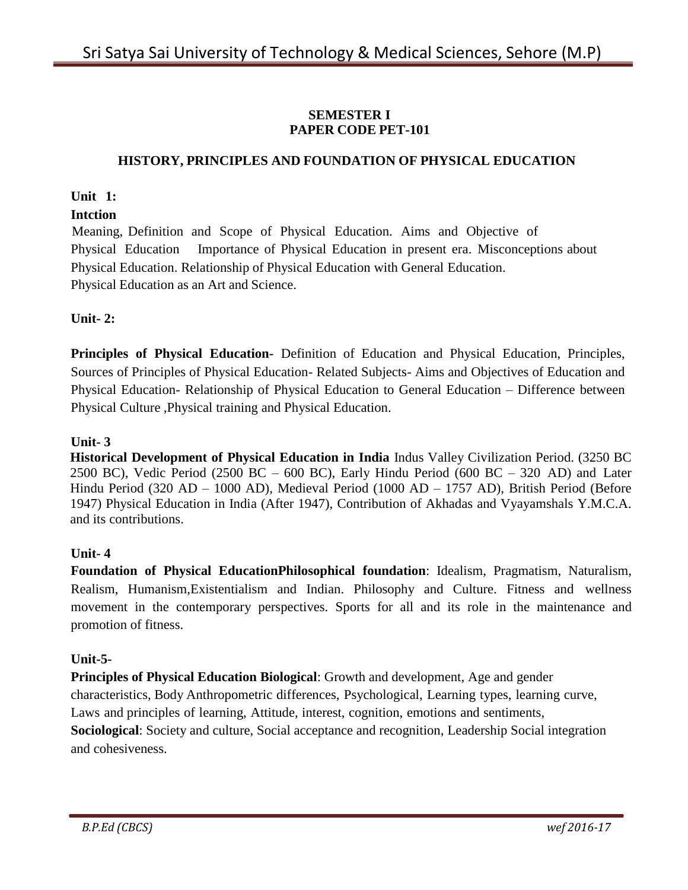# **SEMESTER I PAPER CODE PET-101**

# **HISTORY, PRINCIPLES AND FOUNDATION OF PHYSICAL EDUCATION**

# **Unit 1:**

# **Intction**

Meaning, Definition and Scope of Physical Education. Aims and Objective of Physical Education Importance of Physical Education in present era. Misconceptions about Physical Education. Relationship of Physical Education with General Education. Physical Education as an Art and Science.

# **Unit- 2:**

**Principles of Physical Education-** Definition of Education and Physical Education, Principles, Sources of Principles of Physical Education- Related Subjects- Aims and Objectives of Education and Physical Education- Relationship of Physical Education to General Education – Difference between Physical Culture ,Physical training and Physical Education.

# **Unit- 3**

**Historical Development of Physical Education in India** Indus Valley Civilization Period. (3250 BC 2500 BC), Vedic Period (2500 BC – 600 BC), Early Hindu Period (600 BC – 320 AD) and Later Hindu Period (320 AD – 1000 AD), Medieval Period (1000 AD – 1757 AD), British Period (Before 1947) Physical Education in India (After 1947), Contribution of Akhadas and Vyayamshals Y.M.C.A. and its contributions.

#### **Unit- 4**

**Foundation of Physical EducationPhilosophical foundation**: Idealism, Pragmatism, Naturalism, Realism, Humanism,Existentialism and Indian. Philosophy and Culture. Fitness and wellness movement in the contemporary perspectives. Sports for all and its role in the maintenance and promotion of fitness.

#### **Unit-5-**

**Principles of Physical Education Biological**: Growth and development, Age and gender characteristics, Body Anthropometric differences, Psychological, Learning types, learning curve, Laws and principles of learning, Attitude, interest, cognition, emotions and sentiments, **Sociological**: Society and culture, Social acceptance and recognition, Leadership Social integration and cohesiveness.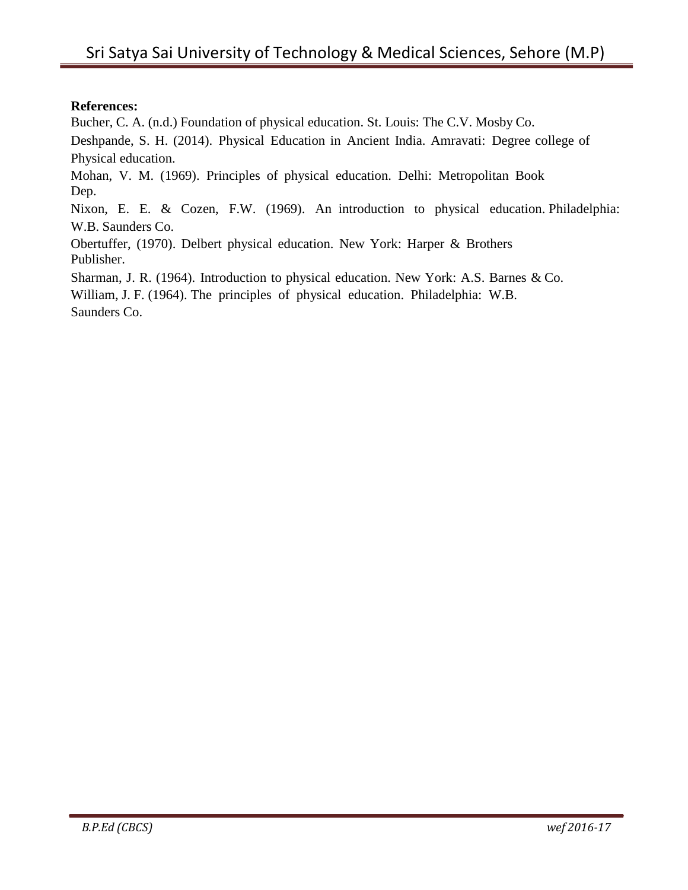# **References:**

Bucher, C. A. (n.d.) Foundation of physical education. St. Louis: The C.V. Mosby Co.

Deshpande, S. H. (2014). Physical Education in Ancient India. Amravati: Degree college of Physical education.

Mohan, V. M. (1969). Principles of physical education. Delhi: Metropolitan Book Dep.

Nixon, E. E. & Cozen, F.W. (1969). An introduction to physical education. Philadelphia: W.B. Saunders Co.

Obertuffer, (1970). Delbert physical education. New York: Harper & Brothers Publisher.

Sharman, J. R. (1964). Introduction to physical education. New York: A.S. Barnes & Co.

William, J. F. (1964). The principles of physical education. Philadelphia: W.B. Saunders Co.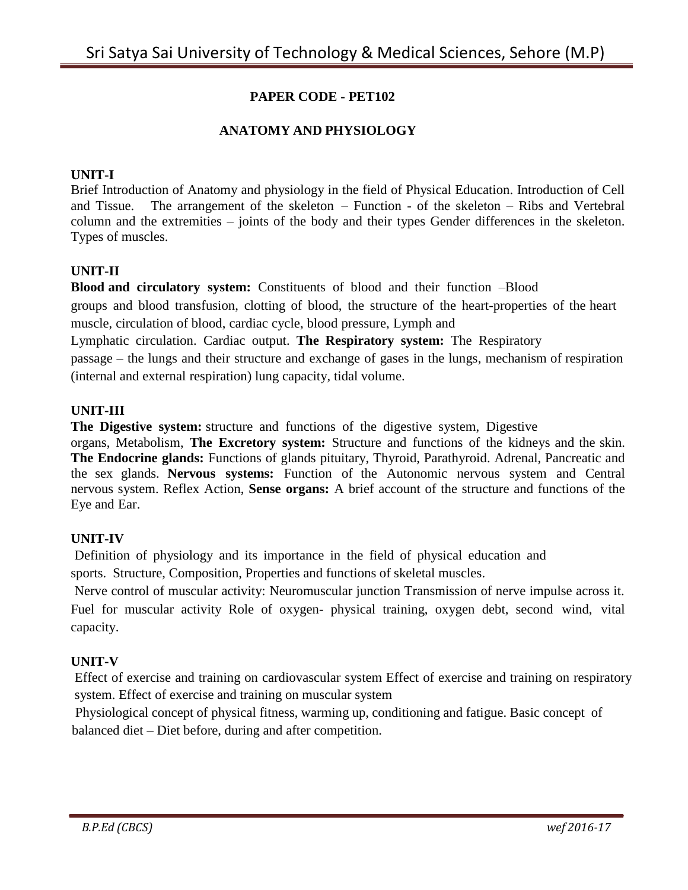# **PAPER CODE - PET102**

#### **ANATOMY AND PHYSIOLOGY**

#### **UNIT-I**

Brief Introduction of Anatomy and physiology in the field of Physical Education. Introduction of Cell and Tissue. The arrangement of the skeleton – Function - of the skeleton – Ribs and Vertebral column and the extremities – joints of the body and their types Gender differences in the skeleton. Types of muscles.

#### **UNIT-II**

**Blood and circulatory system:** Constituents of blood and their function –Blood groups and blood transfusion, clotting of blood, the structure of the heart-properties of the heart muscle, circulation of blood, cardiac cycle, blood pressure, Lymph and

Lymphatic circulation. Cardiac output. **The Respiratory system:** The Respiratory passage – the lungs and their structure and exchange of gases in the lungs, mechanism of respiration (internal and external respiration) lung capacity, tidal volume.

#### **UNIT-III**

**The Digestive system:** structure and functions of the digestive system, Digestive

organs, Metabolism, **The Excretory system:** Structure and functions of the kidneys and the skin. **The Endocrine glands:** Functions of glands pituitary, Thyroid, Parathyroid. Adrenal, Pancreatic and the sex glands. **Nervous systems:** Function of the Autonomic nervous system and Central nervous system. Reflex Action, **Sense organs:** A brief account of the structure and functions of the Eye and Ear.

#### **UNIT-IV**

Definition of physiology and its importance in the field of physical education and sports. Structure, Composition, Properties and functions of skeletal muscles.

Nerve control of muscular activity: Neuromuscular junction Transmission of nerve impulse across it. Fuel for muscular activity Role of oxygen- physical training, oxygen debt, second wind, vital capacity.

#### **UNIT-V**

Effect of exercise and training on cardiovascular system Effect of exercise and training on respiratory system. Effect of exercise and training on muscular system

Physiological concept of physical fitness, warming up, conditioning and fatigue. Basic concept of balanced diet – Diet before, during and after competition.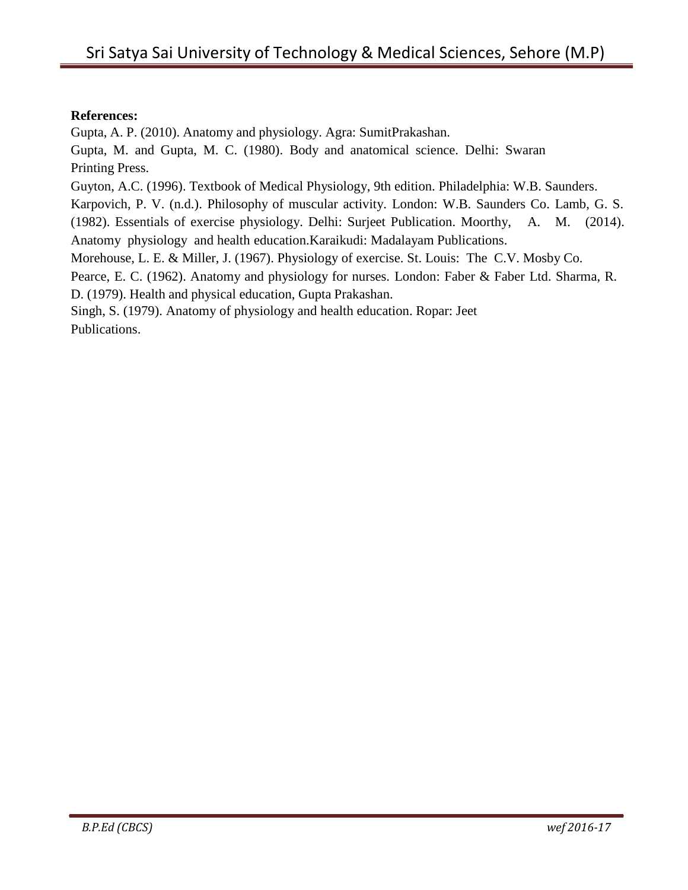#### **References:**

Gupta, A. P. (2010). Anatomy and physiology. Agra: SumitPrakashan.

Gupta, M. and Gupta, M. C. (1980). Body and anatomical science. Delhi: Swaran Printing Press.

Guyton, A.C. (1996). Textbook of Medical Physiology, 9th edition. Philadelphia: W.B. Saunders.

Karpovich, P. V. (n.d.). Philosophy of muscular activity. London: W.B. Saunders Co. Lamb, G. S.

(1982). Essentials of exercise physiology. Delhi: Surjeet Publication. Moorthy, A. M. (2014). Anatomy physiology and health education.Karaikudi: Madalayam Publications.

Morehouse, L. E. & Miller, J. (1967). Physiology of exercise. St. Louis: The C.V. Mosby Co.

Pearce, E. C. (1962). Anatomy and physiology for nurses. London: Faber & Faber Ltd. Sharma, R.

D. (1979). Health and physical education, Gupta Prakashan.

Singh, S. (1979). Anatomy of physiology and health education. Ropar: Jeet Publications.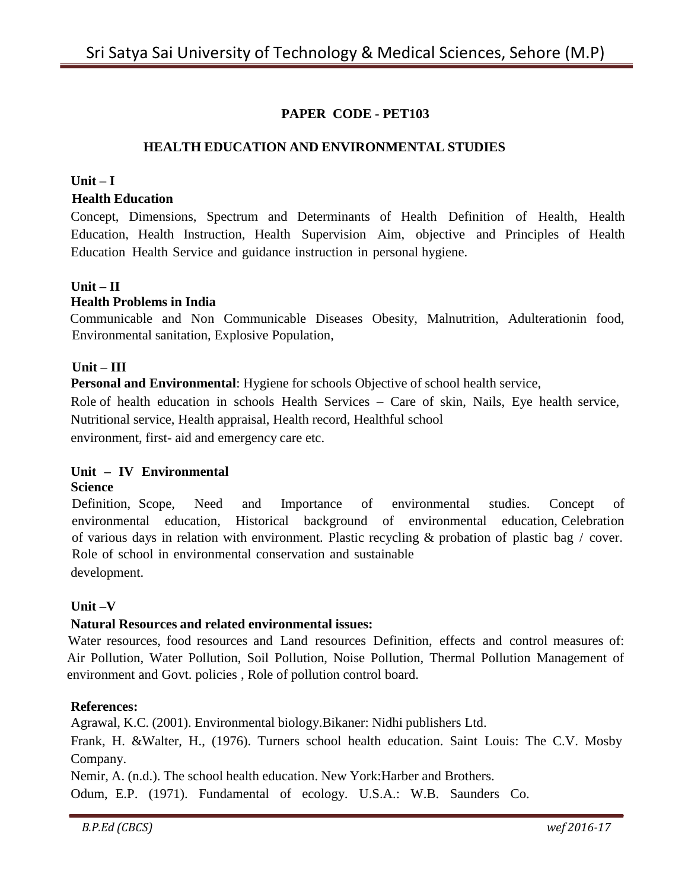# **PAPER CODE - PET103**

#### **HEALTH EDUCATION AND ENVIRONMENTAL STUDIES**

#### **Unit – I**

#### **Health Education**

Concept, Dimensions, Spectrum and Determinants of Health Definition of Health, Health Education, Health Instruction, Health Supervision Aim, objective and Principles of Health Education Health Service and guidance instruction in personal hygiene.

#### **Unit – II**

#### **Health Problems in India**

Communicable and Non Communicable Diseases Obesity, Malnutrition, Adulterationin food, Environmental sanitation, Explosive Population,

#### **Unit – III**

**Personal and Environmental**: Hygiene for schools Objective of school health service,

Role of health education in schools Health Services – Care of skin, Nails, Eye health service, Nutritional service, Health appraisal, Health record, Healthful school environment, first- aid and emergency care etc.

#### **Unit – IV Environmental**

#### **Science**

Definition, Scope, Need and Importance of environmental studies. Concept of environmental education, Historical background of environmental education, Celebration of various days in relation with environment. Plastic recycling & probation of plastic bag / cover. Role of school in environmental conservation and sustainable development.

#### **Unit –V**

#### **Natural Resources and related environmental issues:**

Water resources, food resources and Land resources Definition, effects and control measures of: Air Pollution, Water Pollution, Soil Pollution, Noise Pollution, Thermal Pollution Management of environment and Govt. policies , Role of pollution control board.

#### **References:**

Agrawal, K.C. (2001). Environmental biology.Bikaner: Nidhi publishers Ltd.

Frank, H. &Walter, H., (1976). Turners school health education. Saint Louis: The C.V. Mosby Company.

Nemir, A. (n.d.). The school health education. New York:Harber and Brothers.

Odum, E.P. (1971). Fundamental of ecology. U.S.A.: W.B. Saunders Co.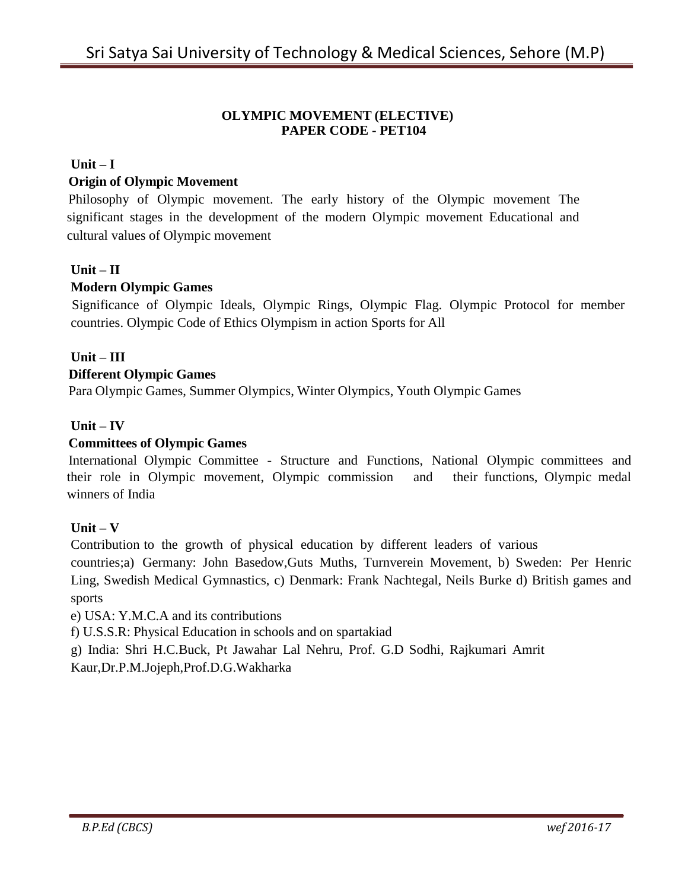#### **OLYMPIC MOVEMENT (ELECTIVE) PAPER CODE - PET104**

#### **Unit – I**

#### **Origin of Olympic Movement**

Philosophy of Olympic movement. The early history of the Olympic movement The significant stages in the development of the modern Olympic movement Educational and cultural values of Olympic movement

#### **Unit – II**

#### **Modern Olympic Games**

Significance of Olympic Ideals, Olympic Rings, Olympic Flag. Olympic Protocol for member countries. Olympic Code of Ethics Olympism in action Sports for All

# **Unit – III**

#### **Different Olympic Games**

Para Olympic Games, Summer Olympics, Winter Olympics, Youth Olympic Games

#### **Unit – IV**

#### **Committees of Olympic Games**

International Olympic Committee - Structure and Functions, National Olympic committees and their role in Olympic movement, Olympic commission and their functions, Olympic medal winners of India

#### **Unit – V**

Contribution to the growth of physical education by different leaders of various

countries;a) Germany: John Basedow,Guts Muths, Turnverein Movement, b) Sweden: Per Henric Ling, Swedish Medical Gymnastics, c) Denmark: Frank Nachtegal, Neils Burke d) British games and sports

e) USA: Y.M.C.A and its contributions

f) U.S.S.R: Physical Education in schools and on spartakiad

g) India: Shri H.C.Buck, Pt Jawahar Lal Nehru, Prof. G.D Sodhi, Rajkumari Amrit

Kaur,Dr.P.M.Jojeph,Prof.D.G.Wakharka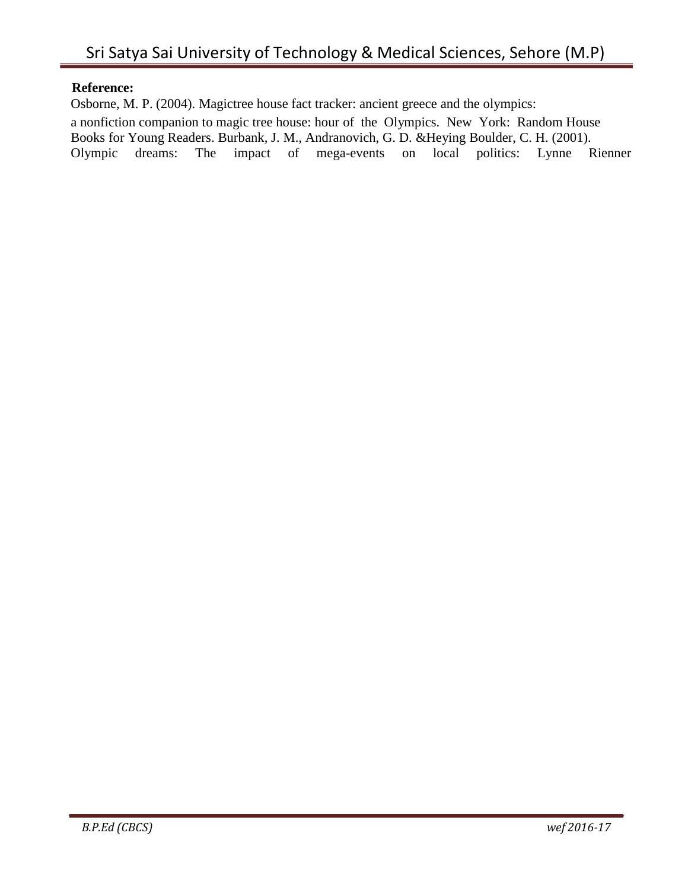### **Reference:**

Osborne, M. P. (2004). Magictree house fact tracker: ancient greece and the olympics: a nonfiction companion to magic tree house: hour of the Olympics. New York: Random House Books for Young Readers. Burbank, J. M., Andranovich, G. D. &Heying Boulder, C. H. (2001). Olympic dreams: The impact of mega-events on local politics: Lynne Rienner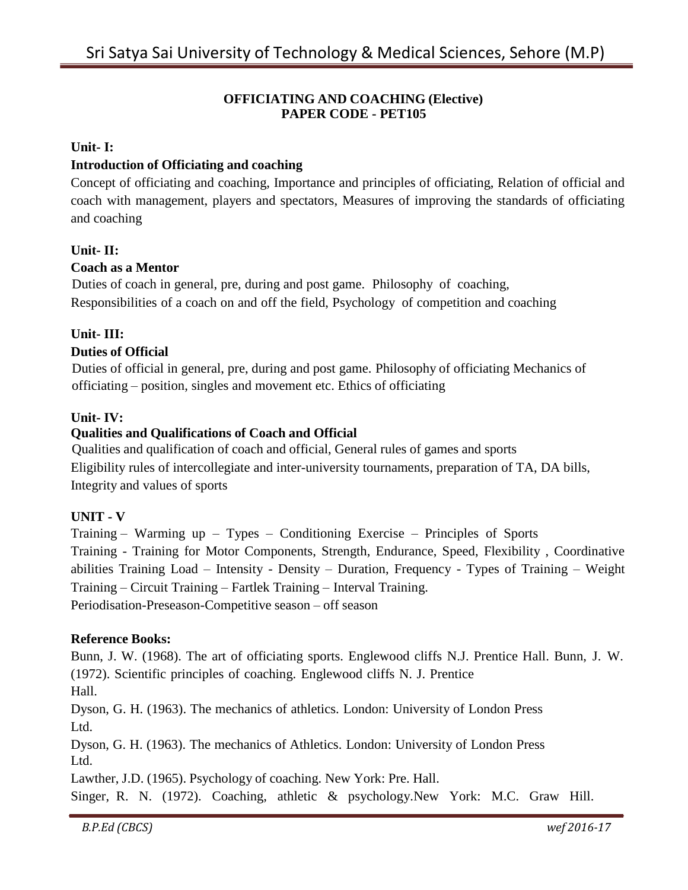# **OFFICIATING AND COACHING (Elective) PAPER CODE - PET105**

# **Unit- I:**

# **Introduction of Officiating and coaching**

Concept of officiating and coaching, Importance and principles of officiating, Relation of official and coach with management, players and spectators, Measures of improving the standards of officiating and coaching

# **Unit- II:**

#### **Coach as a Mentor**

Duties of coach in general, pre, during and post game. Philosophy of coaching, Responsibilities of a coach on and off the field, Psychology of competition and coaching

# **Unit- III:**

# **Duties of Official**

Duties of official in general, pre, during and post game. Philosophy of officiating Mechanics of officiating – position, singles and movement etc. Ethics of officiating

# **Unit- IV:**

# **Qualities and Qualifications of Coach and Official**

Qualities and qualification of coach and official, General rules of games and sports Eligibility rules of intercollegiate and inter-university tournaments, preparation of TA, DA bills, Integrity and values of sports

#### **UNIT - V**

Training – Warming up – Types – Conditioning Exercise – Principles of Sports Training - Training for Motor Components, Strength, Endurance, Speed, Flexibility , Coordinative abilities Training Load – Intensity - Density – Duration, Frequency - Types of Training – Weight Training – Circuit Training – Fartlek Training – Interval Training. Periodisation-Preseason-Competitive season – off season

#### **Reference Books:**

Bunn, J. W. (1968). The art of officiating sports. Englewood cliffs N.J. Prentice Hall. Bunn, J. W. (1972). Scientific principles of coaching. Englewood cliffs N. J. Prentice Hall.

Dyson, G. H. (1963). The mechanics of athletics. London: University of London Press Ltd.

Dyson, G. H. (1963). The mechanics of Athletics. London: University of London Press Ltd.

Lawther, J.D. (1965). Psychology of coaching. New York: Pre. Hall.

Singer, R. N. (1972). Coaching, athletic & psychology.New York: M.C. Graw Hill.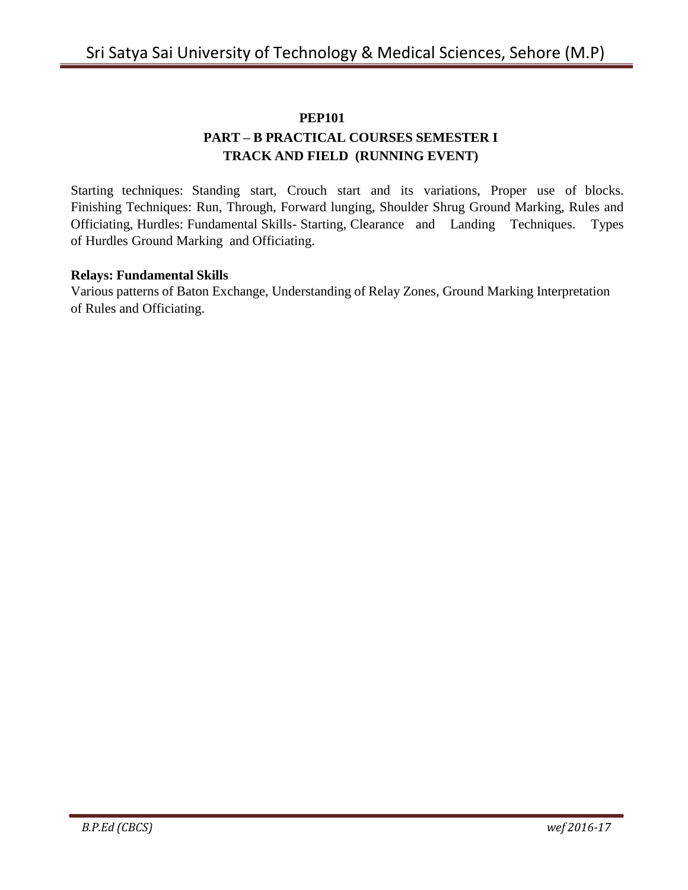#### **PEP101**

# **PART – B PRACTICAL COURSES SEMESTER I TRACK AND FIELD (RUNNING EVENT)**

Starting techniques: Standing start, Crouch start and its variations, Proper use of blocks. Finishing Techniques: Run, Through, Forward lunging, Shoulder Shrug Ground Marking, Rules and Officiating, Hurdles: Fundamental Skills- Starting, Clearance and Landing Techniques. Types of Hurdles Ground Marking and Officiating.

#### **Relays: Fundamental Skills**

Various patterns of Baton Exchange, Understanding of Relay Zones, Ground Marking Interpretation of Rules and Officiating.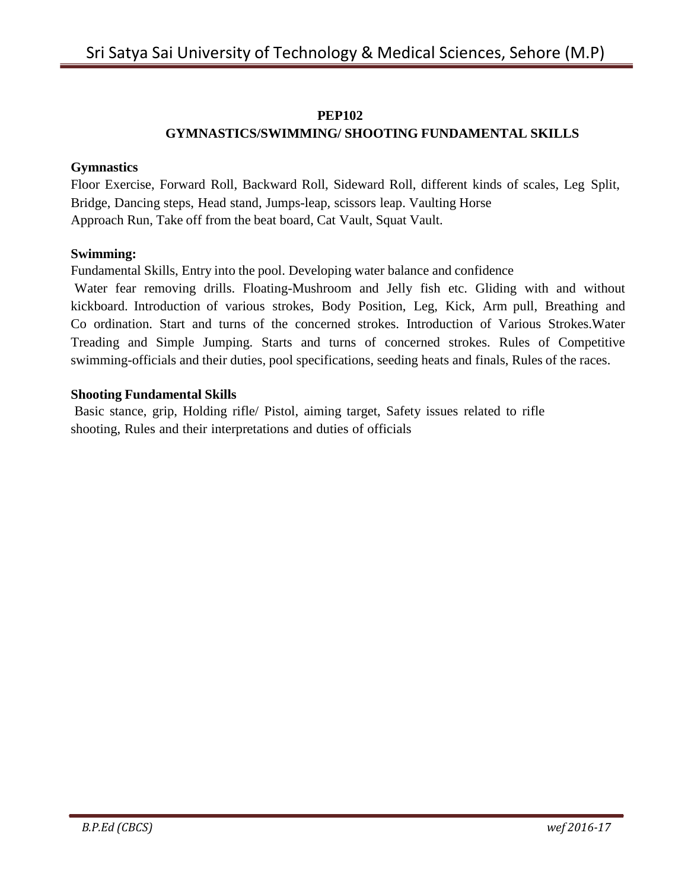# **PEP102**

# **GYMNASTICS/SWIMMING/ SHOOTING FUNDAMENTAL SKILLS**

#### **Gymnastics**

Floor Exercise, Forward Roll, Backward Roll, Sideward Roll, different kinds of scales, Leg Split, Bridge, Dancing steps, Head stand, Jumps-leap, scissors leap. Vaulting Horse Approach Run, Take off from the beat board, Cat Vault, Squat Vault.

#### **Swimming:**

Fundamental Skills, Entry into the pool. Developing water balance and confidence

Water fear removing drills. Floating-Mushroom and Jelly fish etc. Gliding with and without kickboard. Introduction of various strokes, Body Position, Leg, Kick, Arm pull, Breathing and Co ordination. Start and turns of the concerned strokes. Introduction of Various Strokes.Water Treading and Simple Jumping. Starts and turns of concerned strokes. Rules of Competitive swimming-officials and their duties, pool specifications, seeding heats and finals, Rules of the races.

#### **Shooting Fundamental Skills**

Basic stance, grip, Holding rifle/ Pistol, aiming target, Safety issues related to rifle shooting, Rules and their interpretations and duties of officials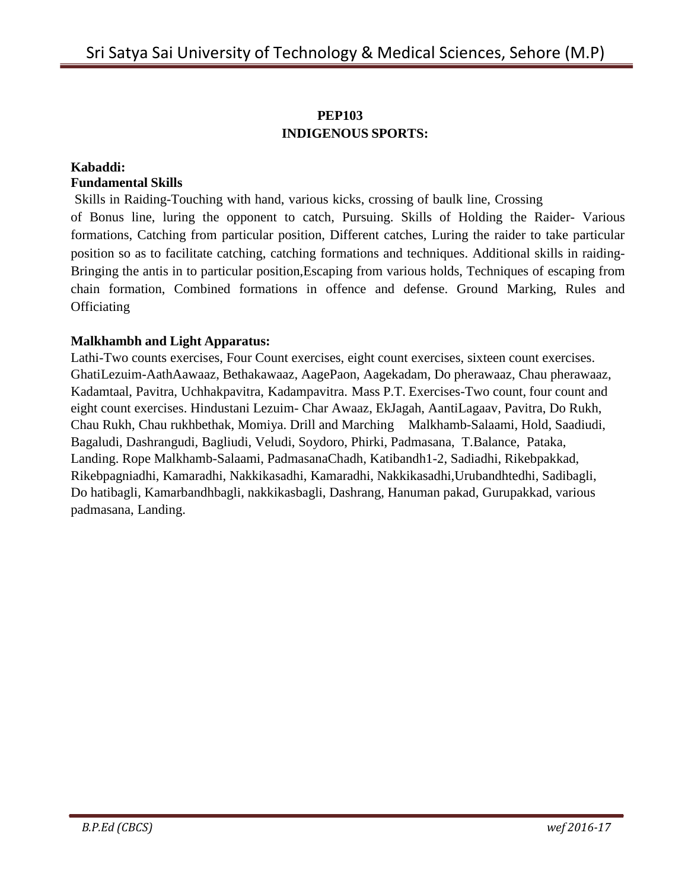# **PEP103 INDIGENOUS SPORTS:**

#### **Kabaddi: Fundamental Skills**

Skills in Raiding-Touching with hand, various kicks, crossing of baulk line, Crossing of Bonus line, luring the opponent to catch, Pursuing. Skills of Holding the Raider- Various formations, Catching from particular position, Different catches, Luring the raider to take particular position so as to facilitate catching, catching formations and techniques. Additional skills in raiding-Bringing the antis in to particular position,Escaping from various holds, Techniques of escaping from chain formation, Combined formations in offence and defense. Ground Marking, Rules and **Officiating** 

# **Malkhambh and Light Apparatus:**

Lathi-Two counts exercises, Four Count exercises, eight count exercises, sixteen count exercises. GhatiLezuim-AathAawaaz, Bethakawaaz, AagePaon, Aagekadam, Do pherawaaz, Chau pherawaaz, Kadamtaal, Pavitra, Uchhakpavitra, Kadampavitra. Mass P.T. Exercises-Two count, four count and eight count exercises. Hindustani Lezuim- Char Awaaz, EkJagah, AantiLagaav, Pavitra, Do Rukh, Chau Rukh, Chau rukhbethak, Momiya. Drill and Marching Malkhamb-Salaami, Hold, Saadiudi, Bagaludi, Dashrangudi, Bagliudi, Veludi, Soydoro, Phirki, Padmasana, T.Balance, Pataka, Landing. Rope Malkhamb-Salaami, PadmasanaChadh, Katibandh1-2, Sadiadhi, Rikebpakkad, Rikebpagniadhi, Kamaradhi, Nakkikasadhi, Kamaradhi, Nakkikasadhi,Urubandhtedhi, Sadibagli, Do hatibagli, Kamarbandhbagli, nakkikasbagli, Dashrang, Hanuman pakad, Gurupakkad, various padmasana, Landing.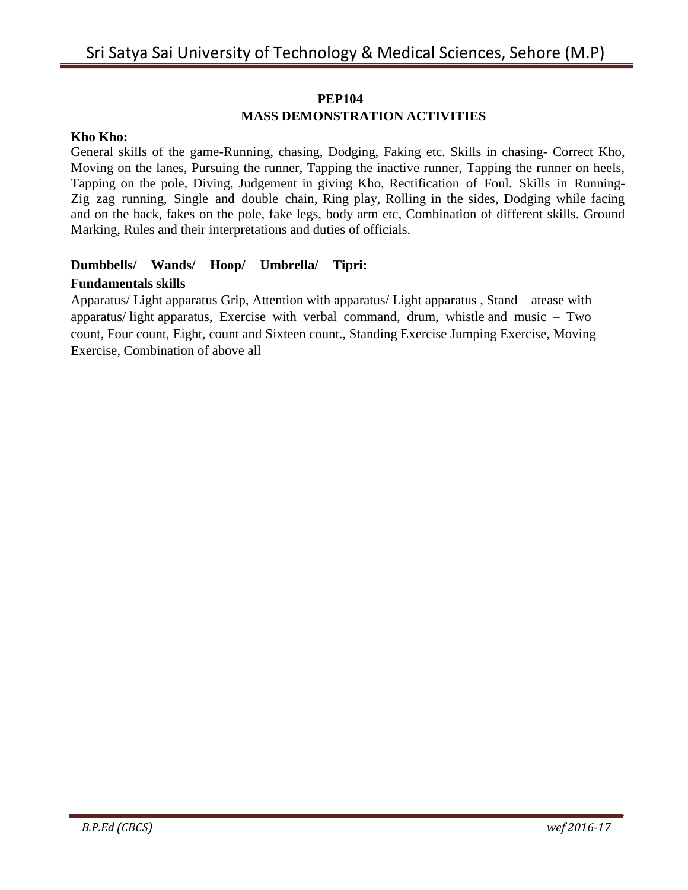#### **PEP104**

# **MASS DEMONSTRATION ACTIVITIES**

#### **Kho Kho:**

General skills of the game-Running, chasing, Dodging, Faking etc. Skills in chasing- Correct Kho, Moving on the lanes, Pursuing the runner, Tapping the inactive runner, Tapping the runner on heels, Tapping on the pole, Diving, Judgement in giving Kho, Rectification of Foul. Skills in Running-Zig zag running, Single and double chain, Ring play, Rolling in the sides, Dodging while facing and on the back, fakes on the pole, fake legs, body arm etc, Combination of different skills. Ground Marking, Rules and their interpretations and duties of officials.

# **Dumbbells/ Wands/ Hoop/ Umbrella/ Tipri: Fundamentals skills**

Apparatus/ Light apparatus Grip, Attention with apparatus/ Light apparatus , Stand – atease with apparatus/ light apparatus, Exercise with verbal command, drum, whistle and music – Two count, Four count, Eight, count and Sixteen count., Standing Exercise Jumping Exercise, Moving Exercise, Combination of above all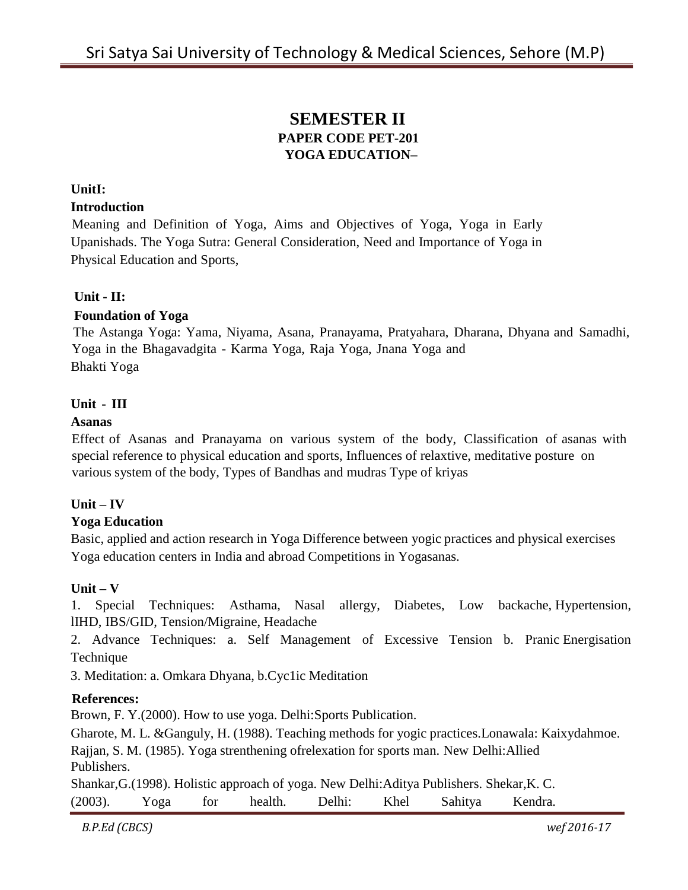# **SEMESTER II PAPER CODE PET-201 YOGA EDUCATION–**

#### **UnitI:**

#### **Introduction**

Meaning and Definition of Yoga, Aims and Objectives of Yoga, Yoga in Early Upanishads. The Yoga Sutra: General Consideration, Need and Importance of Yoga in Physical Education and Sports,

#### **Unit - II:**

#### **Foundation of Yoga**

The Astanga Yoga: Yama, Niyama, Asana, Pranayama, Pratyahara, Dharana, Dhyana and Samadhi, Yoga in the Bhagavadgita - Karma Yoga, Raja Yoga, Jnana Yoga and Bhakti Yoga

#### **Unit - III**

#### **Asanas**

Effect of Asanas and Pranayama on various system of the body, Classification of asanas with special reference to physical education and sports, Influences of relaxtive, meditative posture on various system of the body, Types of Bandhas and mudras Type of kriyas

#### **Unit – IV**

#### **Yoga Education**

Basic, applied and action research in Yoga Difference between yogic practices and physical exercises Yoga education centers in India and abroad Competitions in Yogasanas.

#### **Unit – V**

1. Special Techniques: Asthama, Nasal allergy, Diabetes, Low backache, Hypertension, lIHD, IBS/GID, Tension/Migraine, Headache

2. Advance Techniques: a. Self Management of Excessive Tension b. Pranic Energisation Technique

3. Meditation: a. Omkara Dhyana, b.Cyc1ic Meditation

#### **References:**

Brown, F. Y.(2000). How to use yoga. Delhi:Sports Publication.

Gharote, M. L. &Ganguly, H. (1988). Teaching methods for yogic practices.Lonawala: Kaixydahmoe.

Rajjan, S. M. (1985). Yoga strenthening ofrelexation for sports man. New Delhi:Allied Publishers.

Shankar,G.(1998). Holistic approach of yoga. New Delhi:Aditya Publishers. Shekar,K. C.

(2003). Yoga for health. Delhi: Khel Sahitya Kendra.

*B.P.Ed (CBCS) wef 2016-17*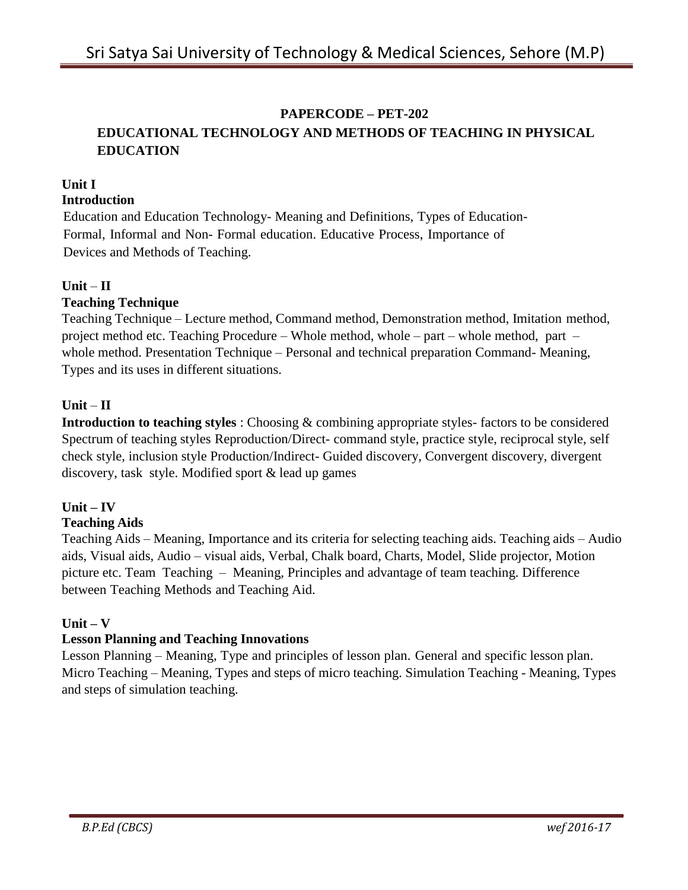# **PAPERCODE – PET-202**

# **EDUCATIONAL TECHNOLOGY AND METHODS OF TEACHING IN PHYSICAL EDUCATION**

# **Unit I**

# **Introduction**

Education and Education Technology- Meaning and Definitions, Types of Education-Formal, Informal and Non- Formal education. Educative Process, Importance of Devices and Methods of Teaching.

# **Unit** – **II**

# **Teaching Technique**

Teaching Technique – Lecture method, Command method, Demonstration method, Imitation method, project method etc. Teaching Procedure – Whole method, whole – part – whole method, part – whole method. Presentation Technique – Personal and technical preparation Command- Meaning, Types and its uses in different situations.

# **Unit** – **II**

**Introduction to teaching styles** : Choosing & combining appropriate styles- factors to be considered Spectrum of teaching styles Reproduction/Direct- command style, practice style, reciprocal style, self check style, inclusion style Production/Indirect- Guided discovery, Convergent discovery, divergent discovery, task style. Modified sport & lead up games

#### **Unit – IV Teaching Aids**

Teaching Aids – Meaning, Importance and its criteria for selecting teaching aids. Teaching aids – Audio aids, Visual aids, Audio – visual aids, Verbal, Chalk board, Charts, Model, Slide projector, Motion picture etc. Team Teaching – Meaning, Principles and advantage of team teaching. Difference between Teaching Methods and Teaching Aid.

# $\textbf{Unit} - \textbf{V}$

# **Lesson Planning and Teaching Innovations**

Lesson Planning – Meaning, Type and principles of lesson plan. General and specific lesson plan. Micro Teaching – Meaning, Types and steps of micro teaching. Simulation Teaching - Meaning, Types and steps of simulation teaching.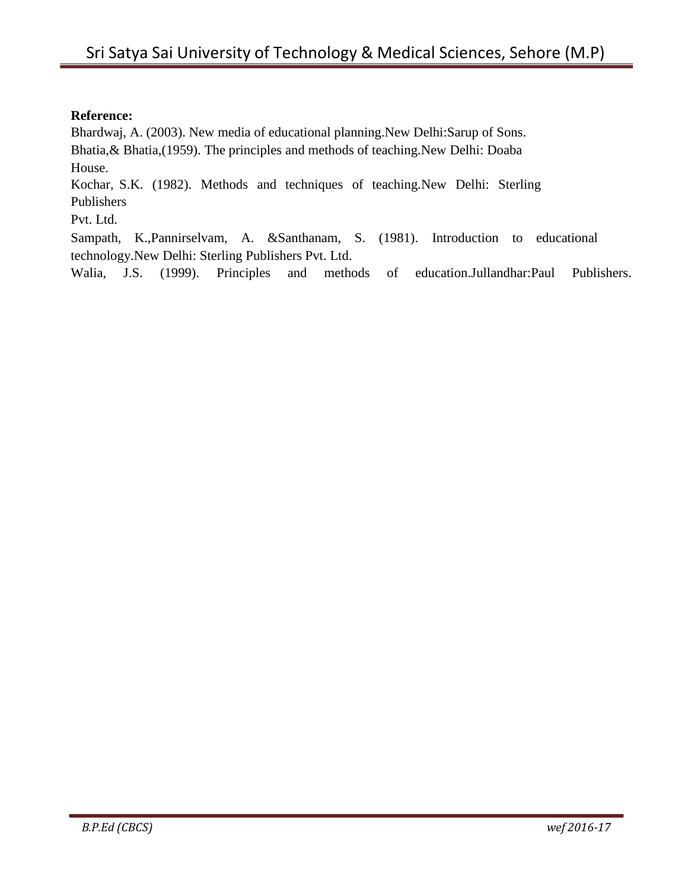#### **Reference:**

Bhardwaj, A. (2003). New media of educational planning.New Delhi:Sarup of Sons. Bhatia,& Bhatia,(1959). The principles and methods of teaching.New Delhi: Doaba

House.

Kochar, S.K. (1982). Methods and techniques of teaching.New Delhi: Sterling Publishers

Pvt. Ltd.

Sampath, K.,Pannirselvam, A. &Santhanam, S. (1981). Introduction to educational technology.New Delhi: Sterling Publishers Pvt. Ltd.

Walia, J.S. (1999). Principles and methods of education.Jullandhar:Paul Publishers.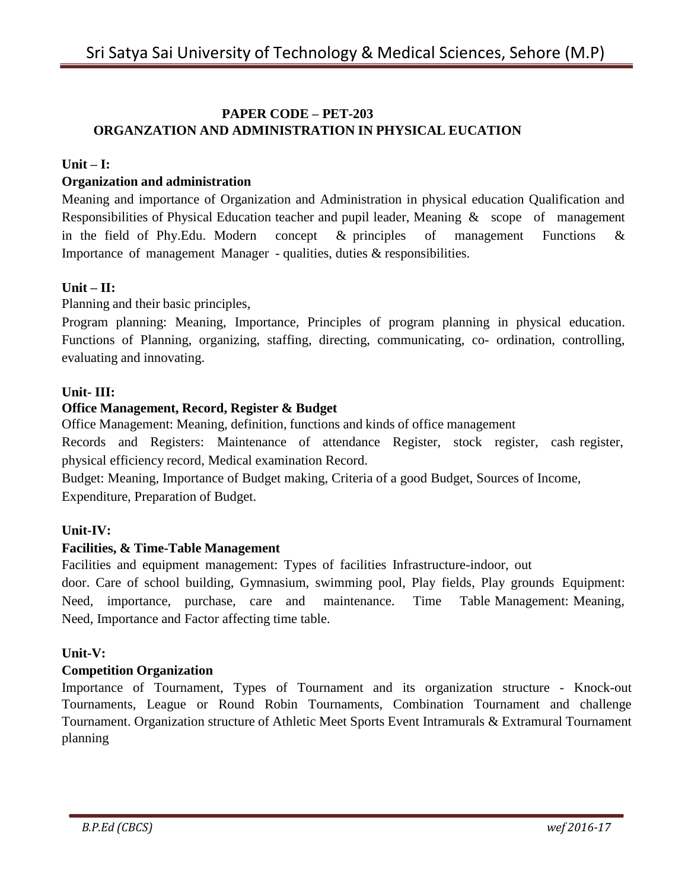# **PAPER CODE – PET-203 ORGANZATION AND ADMINISTRATION IN PHYSICAL EUCATION**

# $\textbf{Unit} = \textbf{I}:$

# **Organization and administration**

Meaning and importance of Organization and Administration in physical education Qualification and Responsibilities of Physical Education teacher and pupil leader, Meaning & scope of management in the field of Phy.Edu. Modern concept & principles of management Functions & Importance of management Manager - qualities, duties & responsibilities.

#### $Unit - II:$

Planning and their basic principles,

Program planning: Meaning, Importance, Principles of program planning in physical education. Functions of Planning, organizing, staffing, directing, communicating, co- ordination, controlling, evaluating and innovating.

#### **Unit- III:**

#### **Office Management, Record, Register & Budget**

Office Management: Meaning, definition, functions and kinds of office management

Records and Registers: Maintenance of attendance Register, stock register, cash register, physical efficiency record, Medical examination Record.

Budget: Meaning, Importance of Budget making, Criteria of a good Budget, Sources of Income, Expenditure, Preparation of Budget.

#### **Unit-IV:**

#### **Facilities, & Time-Table Management**

Facilities and equipment management: Types of facilities Infrastructure-indoor, out

door. Care of school building, Gymnasium, swimming pool, Play fields, Play grounds Equipment: Need, importance, purchase, care and maintenance. Time Table Management: Meaning, Need, Importance and Factor affecting time table.

#### **Unit-V:**

#### **Competition Organization**

Importance of Tournament, Types of Tournament and its organization structure - Knock-out Tournaments, League or Round Robin Tournaments, Combination Tournament and challenge Tournament. Organization structure of Athletic Meet Sports Event Intramurals & Extramural Tournament planning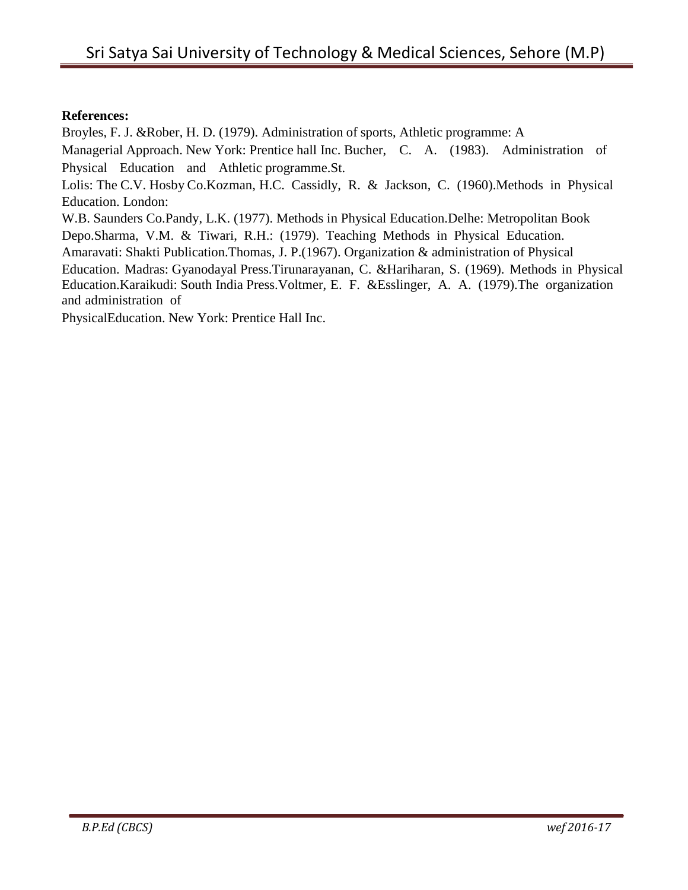#### **References:**

Broyles, F. J. &Rober, H. D. (1979). Administration of sports, Athletic programme: A Managerial Approach. New York: Prentice hall Inc. Bucher, C. A. (1983). Administration of Physical Education and Athletic programme.St. Lolis: The C.V. Hosby Co.Kozman, H.C. Cassidly, R. & Jackson, C. (1960).Methods in Physical Education. London: W.B. Saunders Co.Pandy, L.K. (1977). Methods in Physical Education.Delhe: Metropolitan Book Depo.Sharma, V.M. & Tiwari, R.H.: (1979). Teaching Methods in Physical Education. Amaravati: Shakti Publication.Thomas, J. P.(1967). Organization & administration of Physical Education. Madras: Gyanodayal Press.Tirunarayanan, C. &Hariharan, S. (1969). Methods in Physical Education.Karaikudi: South India Press.Voltmer, E. F. &Esslinger, A. A. (1979).The organization and administration of

PhysicalEducation. New York: Prentice Hall Inc.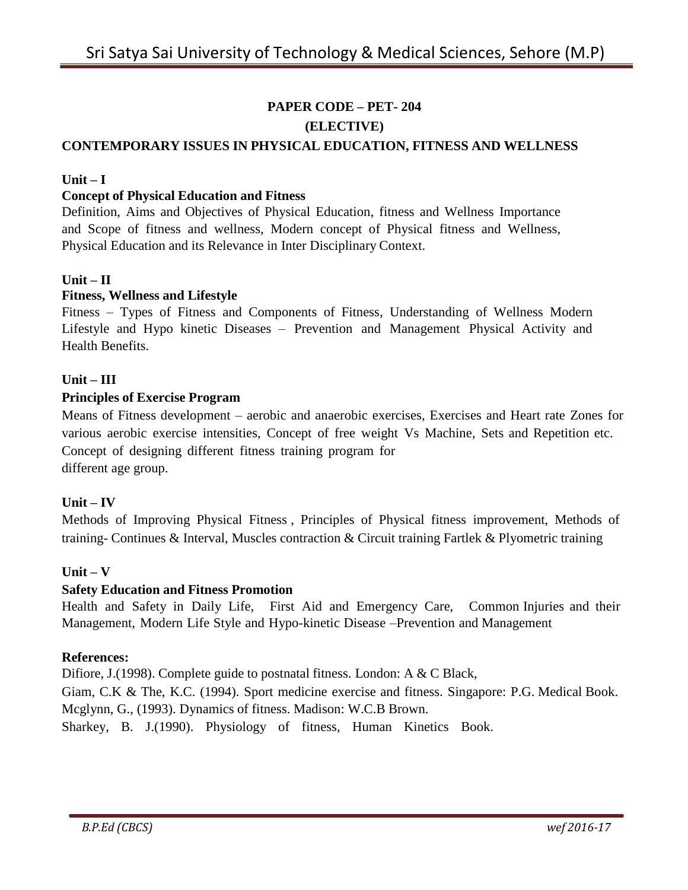# **PAPER CODE – PET- 204 (ELECTIVE) CONTEMPORARY ISSUES IN PHYSICAL EDUCATION, FITNESS AND WELLNESS**

# **Unit – I**

#### **Concept of Physical Education and Fitness**

Definition, Aims and Objectives of Physical Education, fitness and Wellness Importance and Scope of fitness and wellness, Modern concept of Physical fitness and Wellness, Physical Education and its Relevance in Inter Disciplinary Context.

#### $Unit - II$

#### **Fitness, Wellness and Lifestyle**

Fitness – Types of Fitness and Components of Fitness, Understanding of Wellness Modern Lifestyle and Hypo kinetic Diseases – Prevention and Management Physical Activity and Health Benefits.

#### **Unit – III**

#### **Principles of Exercise Program**

Means of Fitness development – aerobic and anaerobic exercises, Exercises and Heart rate Zones for various aerobic exercise intensities, Concept of free weight Vs Machine, Sets and Repetition etc. Concept of designing different fitness training program for different age group.

#### **Unit – IV**

Methods of Improving Physical Fitness , Principles of Physical fitness improvement, Methods of training- Continues & Interval, Muscles contraction & Circuit training Fartlek & Plyometric training

#### **Unit – V**

#### **Safety Education and Fitness Promotion**

Health and Safety in Daily Life, First Aid and Emergency Care, Common Injuries and their Management, Modern Life Style and Hypo-kinetic Disease –Prevention and Management

#### **References:**

Diffore, J. (1998). Complete guide to postnatal fitness. London: A & C Black, Giam, C.K & The, K.C. (1994). Sport medicine exercise and fitness. Singapore: P.G. Medical Book. Mcglynn, G., (1993). Dynamics of fitness. Madison: W.C.B Brown. Sharkey, B. J.(1990). Physiology of fitness, Human Kinetics Book.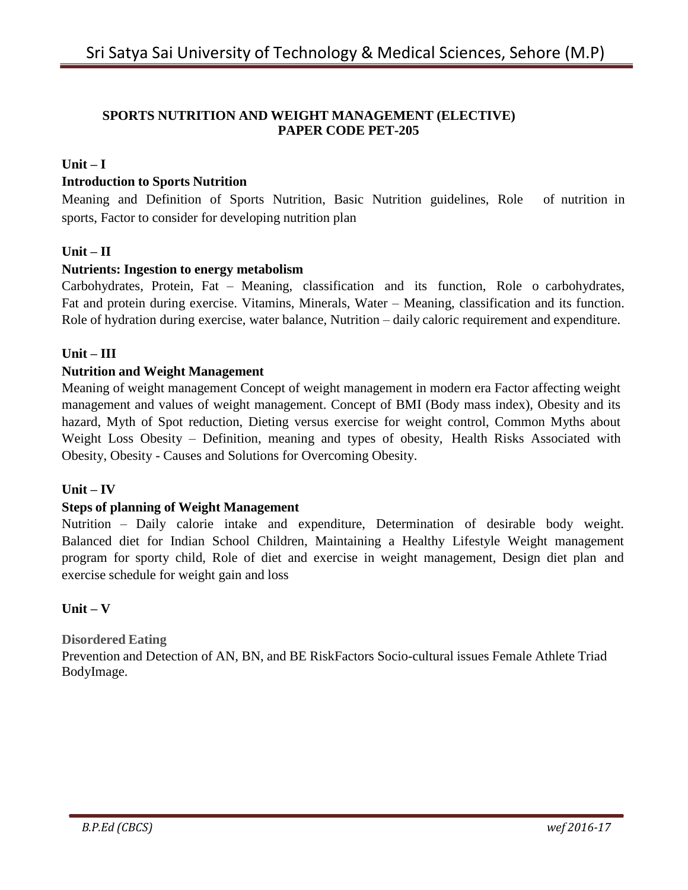#### **SPORTS NUTRITION AND WEIGHT MANAGEMENT (ELECTIVE) PAPER CODE PET-205**

# $\textbf{Unit} - \textbf{I}$

#### **Introduction to Sports Nutrition**

Meaning and Definition of Sports Nutrition, Basic Nutrition guidelines, Role of nutrition in sports, Factor to consider for developing nutrition plan

#### **Unit – II**

#### **Nutrients: Ingestion to energy metabolism**

Carbohydrates, Protein, Fat – Meaning, classification and its function, Role o carbohydrates, Fat and protein during exercise. Vitamins, Minerals, Water – Meaning, classification and its function. Role of hydration during exercise, water balance, Nutrition – daily caloric requirement and expenditure.

#### **Unit – III**

#### **Nutrition and Weight Management**

Meaning of weight management Concept of weight management in modern era Factor affecting weight management and values of weight management. Concept of BMI (Body mass index), Obesity and its hazard, Myth of Spot reduction, Dieting versus exercise for weight control, Common Myths about Weight Loss Obesity – Definition, meaning and types of obesity, Health Risks Associated with Obesity, Obesity - Causes and Solutions for Overcoming Obesity.

#### $Unit - IV$

#### **Steps of planning of Weight Management**

Nutrition – Daily calorie intake and expenditure, Determination of desirable body weight. Balanced diet for Indian School Children, Maintaining a Healthy Lifestyle Weight management program for sporty child, Role of diet and exercise in weight management, Design diet plan and exercise schedule for weight gain and loss

#### **Unit – V**

#### **Disordered Eating**

Prevention and Detection of AN, BN, and BE RiskFactors Socio-cultural issues Female Athlete Triad BodyImage.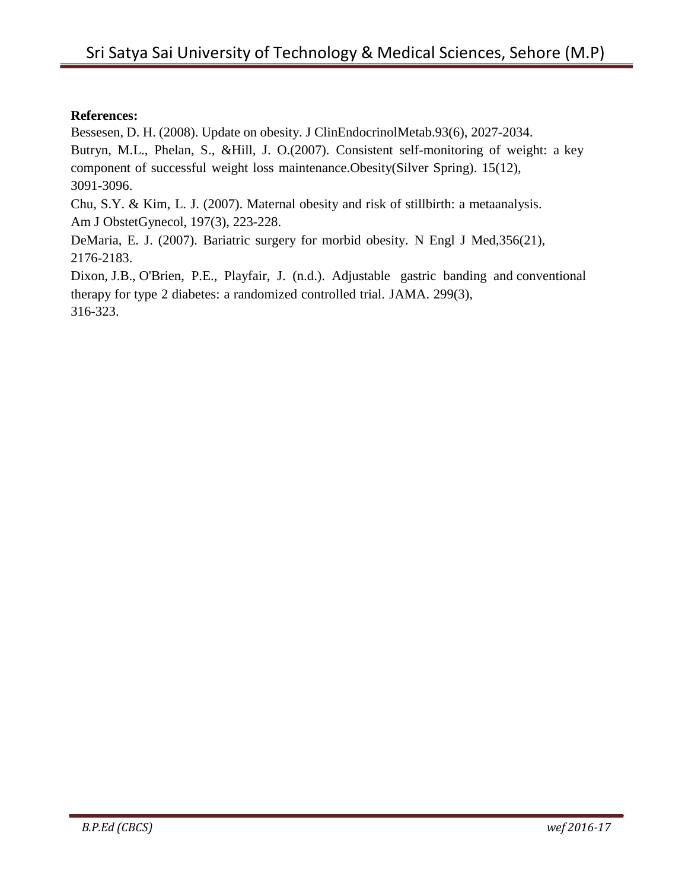#### **References:**

Bessesen, D. H. (2008). Update on obesity. J ClinEndocrinolMetab.93(6), 2027-2034.

Butryn, M.L., Phelan, S., &Hill, J. O.(2007). Consistent self-monitoring of weight: a key component of successful weight loss maintenance.Obesity(Silver Spring). 15(12), 3091-3096.

Chu, S.Y. & Kim, L. J. (2007). Maternal obesity and risk of stillbirth: a metaanalysis. Am J ObstetGynecol, 197(3), 223-228.

DeMaria, E. J. (2007). Bariatric surgery for morbid obesity. N Engl J Med,356(21), 2176-2183.

Dixon, J.B., O'Brien, P.E., Playfair, J. (n.d.). Adjustable gastric banding and conventional therapy for type 2 diabetes: a randomized controlled trial. JAMA. 299(3), 316-323.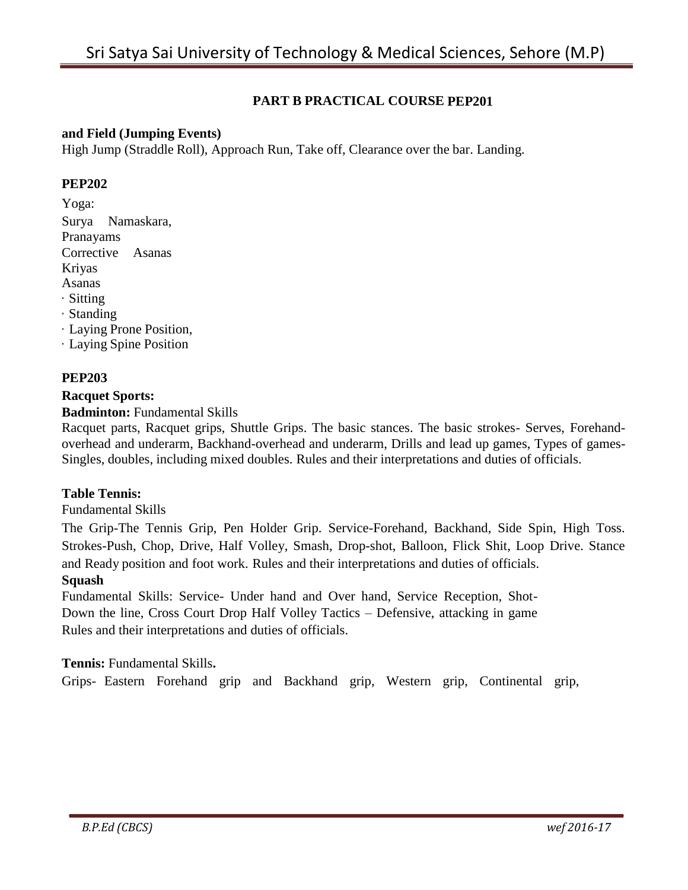# **PART B PRACTICAL COURSE PEP201**

#### **and Field (Jumping Events)**

High Jump (Straddle Roll), Approach Run, Take off, Clearance over the bar. Landing.

#### **PEP202**

Yoga: Surya Namaskara, Pranayams Corrective Asanas Kriyas Asanas · Sitting · Standing · Laying Prone Position, · Laying Spine Position

#### **PEP203**

#### **Racquet Sports:**

#### **Badminton:** Fundamental Skills

Racquet parts, Racquet grips, Shuttle Grips. The basic stances. The basic strokes- Serves, Forehandoverhead and underarm, Backhand-overhead and underarm, Drills and lead up games, Types of games-Singles, doubles, including mixed doubles. Rules and their interpretations and duties of officials.

#### **Table Tennis:**

#### Fundamental Skills

The Grip-The Tennis Grip, Pen Holder Grip. Service-Forehand, Backhand, Side Spin, High Toss. Strokes-Push, Chop, Drive, Half Volley, Smash, Drop-shot, Balloon, Flick Shit, Loop Drive. Stance and Ready position and foot work. Rules and their interpretations and duties of officials.

#### **Squash**

Fundamental Skills: Service- Under hand and Over hand, Service Reception, Shot-Down the line, Cross Court Drop Half Volley Tactics – Defensive, attacking in game Rules and their interpretations and duties of officials.

#### **Tennis:** Fundamental Skills**.**

Grips- Eastern Forehand grip and Backhand grip, Western grip, Continental grip,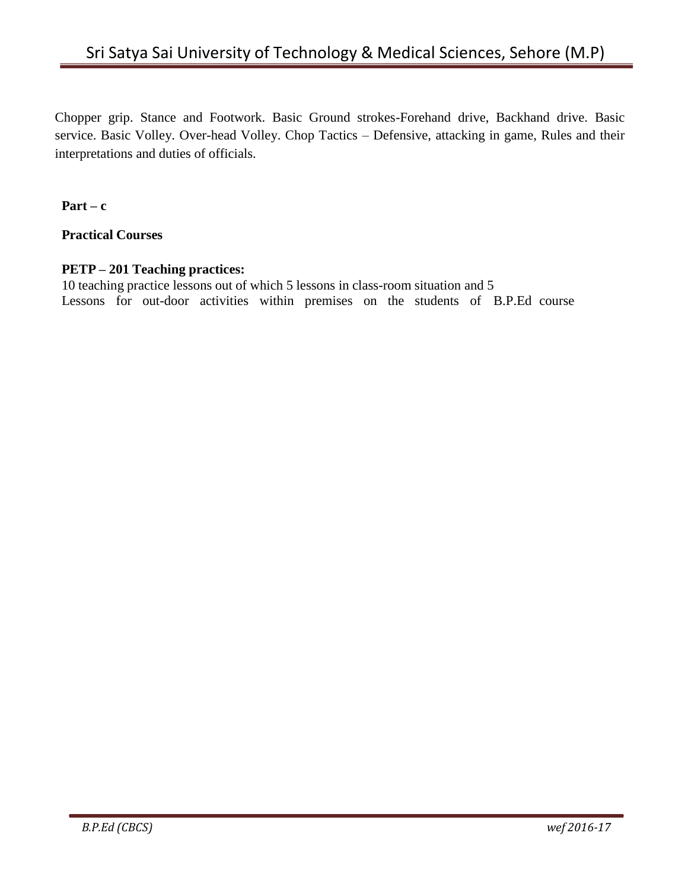Chopper grip. Stance and Footwork. Basic Ground strokes-Forehand drive, Backhand drive. Basic service. Basic Volley. Over-head Volley. Chop Tactics – Defensive, attacking in game, Rules and their interpretations and duties of officials.

 $Part - c$ 

**Practical Courses**

# **PETP – 201 Teaching practices:**

10 teaching practice lessons out of which 5 lessons in class-room situation and 5 Lessons for out-door activities within premises on the students of B.P.Ed course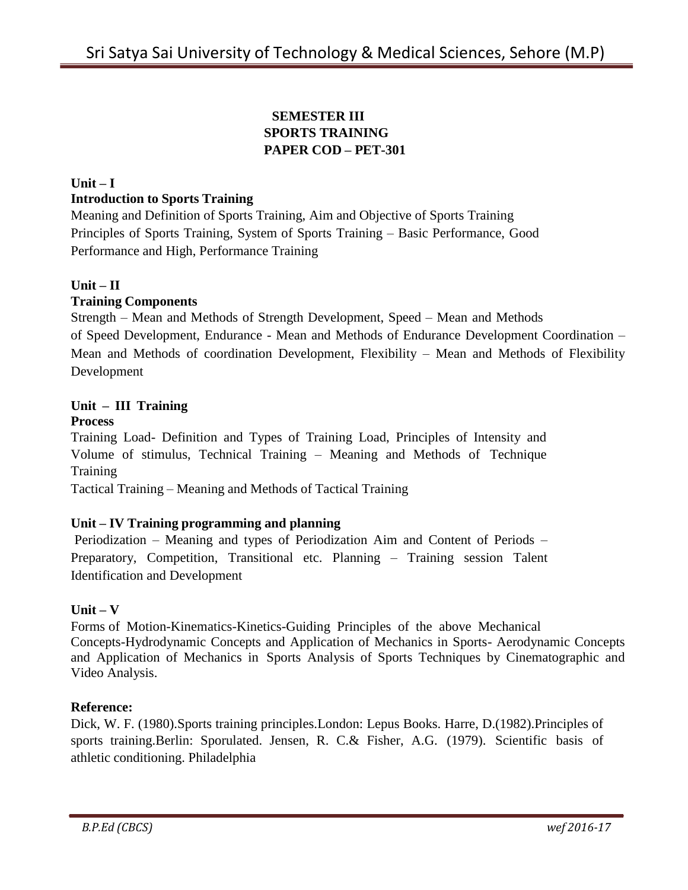# **SEMESTER III SPORTS TRAINING PAPER COD – PET-301**

# $Unit - I$ **Introduction to Sports Training**

Meaning and Definition of Sports Training, Aim and Objective of Sports Training Principles of Sports Training, System of Sports Training – Basic Performance, Good Performance and High, Performance Training

# **Unit – II**

#### **Training Components**

Strength – Mean and Methods of Strength Development, Speed – Mean and Methods of Speed Development, Endurance - Mean and Methods of Endurance Development Coordination – Mean and Methods of coordination Development, Flexibility – Mean and Methods of Flexibility Development

# **Unit – III Training**

# **Process**

Training Load- Definition and Types of Training Load, Principles of Intensity and Volume of stimulus, Technical Training – Meaning and Methods of Technique **Training** 

Tactical Training – Meaning and Methods of Tactical Training

# **Unit – IV Training programming and planning**

Periodization – Meaning and types of Periodization Aim and Content of Periods – Preparatory, Competition, Transitional etc. Planning – Training session Talent Identification and Development

# **Unit – V**

Forms of Motion-Kinematics-Kinetics-Guiding Principles of the above Mechanical Concepts-Hydrodynamic Concepts and Application of Mechanics in Sports- Aerodynamic Concepts and Application of Mechanics in Sports Analysis of Sports Techniques by Cinematographic and Video Analysis.

#### **Reference:**

Dick, W. F. (1980).Sports training principles.London: Lepus Books. Harre, D.(1982).Principles of sports training.Berlin: Sporulated. Jensen, R. C.& Fisher, A.G. (1979). Scientific basis of athletic conditioning. Philadelphia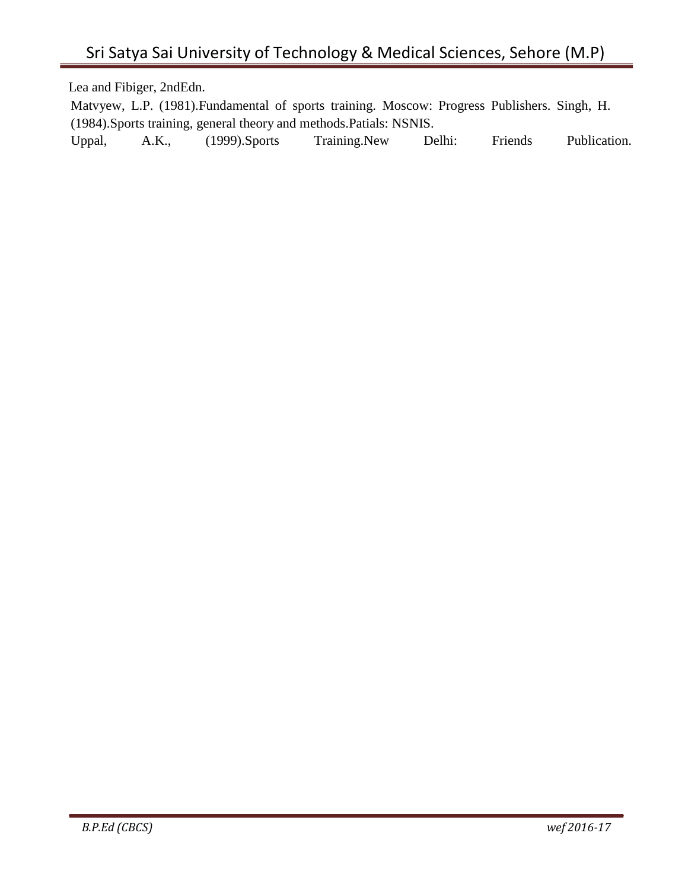Lea and Fibiger, 2ndEdn.

Matvyew, L.P. (1981).Fundamental of sports training. Moscow: Progress Publishers. Singh, H. (1984).Sports training, general theory and methods.Patials: NSNIS. Uppal, A.K., (1999).Sports Training.New Delhi: Friends Publication.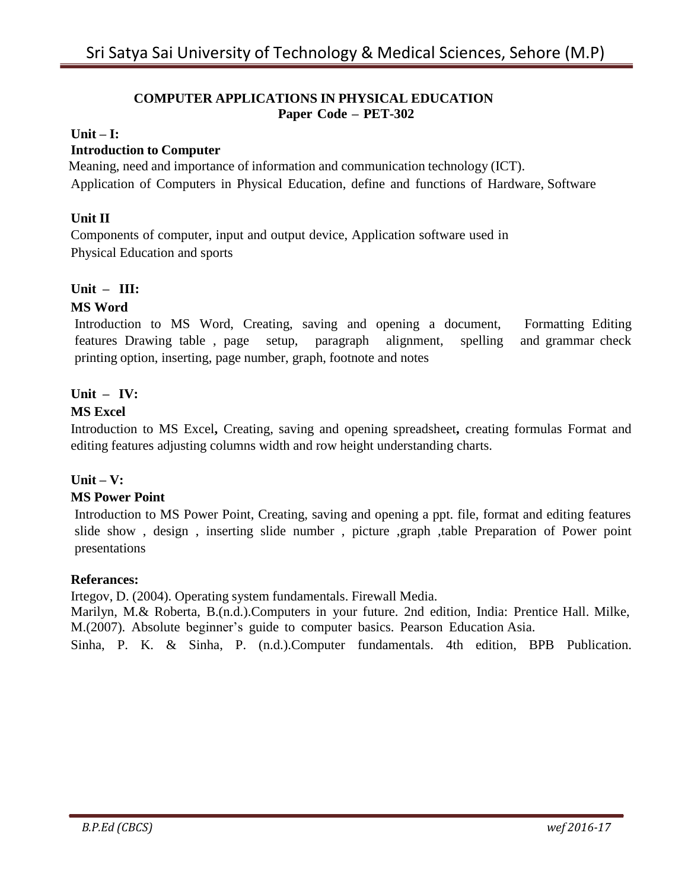#### **COMPUTER APPLICATIONS IN PHYSICAL EDUCATION Paper Code – PET-302**

#### $Unit - I:$

# **Introduction to Computer**

Meaning, need and importance of information and communication technology (ICT). Application of Computers in Physical Education, define and functions of Hardware, Software

#### **Unit II**

Components of computer, input and output device, Application software used in Physical Education and sports

#### **Unit – III:**

#### **MS Word**

Introduction to MS Word, Creating, saving and opening a document, Formatting Editing features Drawing table , page setup, paragraph alignment, spelling and grammar check printing option, inserting, page number, graph, footnote and notes

#### **Unit – IV:**

#### **MS Excel**

Introduction to MS Excel**,** Creating, saving and opening spreadsheet**,** creating formulas Format and editing features adjusting columns width and row height understanding charts.

#### **Unit – V:**

#### **MS Power Point**

Introduction to MS Power Point, Creating, saving and opening a ppt. file, format and editing features slide show , design , inserting slide number , picture ,graph ,table Preparation of Power point presentations

#### **Referances:**

Irtegov, D. (2004). Operating system fundamentals. Firewall Media. Marilyn, M.& Roberta, B.(n.d.).Computers in your future. 2nd edition, India: Prentice Hall. Milke, M.(2007). Absolute beginner's guide to computer basics. Pearson Education Asia.

Sinha, P. K. & Sinha, P. (n.d.).Computer fundamentals. 4th edition, BPB Publication.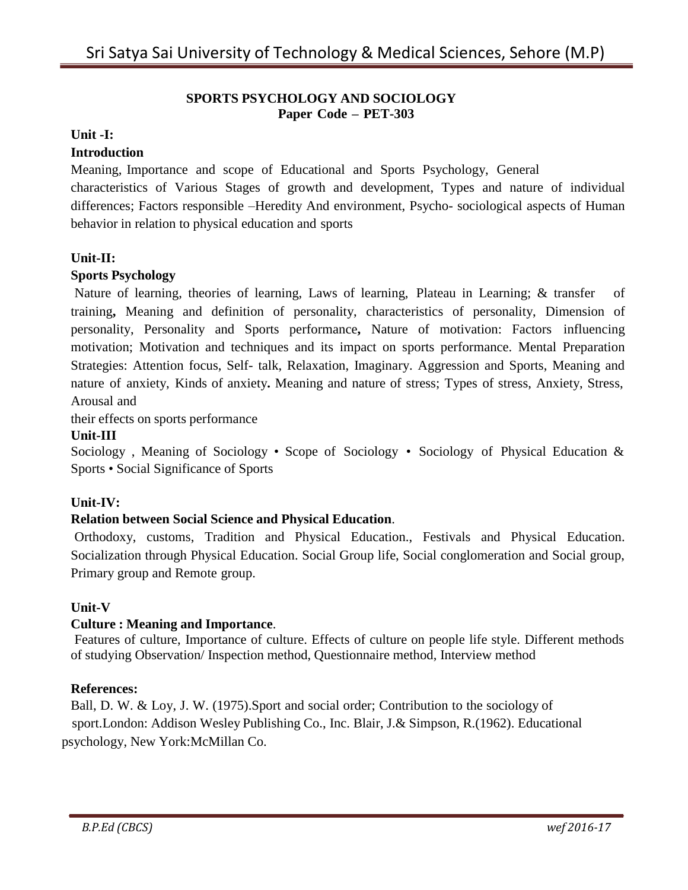#### **SPORTS PSYCHOLOGY AND SOCIOLOGY Paper Code – PET-303**

#### **Unit -I:**

#### **Introduction**

Meaning, Importance and scope of Educational and Sports Psychology, General

characteristics of Various Stages of growth and development, Types and nature of individual differences; Factors responsible –Heredity And environment, Psycho- sociological aspects of Human behavior in relation to physical education and sports

#### **Unit-II:**

#### **Sports Psychology**

Nature of learning, theories of learning, Laws of learning, Plateau in Learning; & transfer of training**,** Meaning and definition of personality, characteristics of personality, Dimension of personality, Personality and Sports performance**,** Nature of motivation: Factors influencing motivation; Motivation and techniques and its impact on sports performance. Mental Preparation Strategies: Attention focus, Self- talk, Relaxation, Imaginary. Aggression and Sports, Meaning and nature of anxiety, Kinds of anxiety**.** Meaning and nature of stress; Types of stress, Anxiety, Stress, Arousal and

their effects on sports performance

#### **Unit-III**

Sociology , Meaning of Sociology • Scope of Sociology • Sociology of Physical Education & Sports • Social Significance of Sports

#### **Unit-IV:**

#### **Relation between Social Science and Physical Education**.

Orthodoxy, customs, Tradition and Physical Education., Festivals and Physical Education. Socialization through Physical Education. Social Group life, Social conglomeration and Social group, Primary group and Remote group.

#### **Unit-V**

#### **Culture : Meaning and Importance**.

Features of culture, Importance of culture. Effects of culture on people life style. Different methods of studying Observation/ Inspection method, Questionnaire method, Interview method

#### **References:**

Ball, D. W. & Loy, J. W. (1975).Sport and social order; Contribution to the sociology of sport.London: Addison Wesley Publishing Co., Inc. Blair, J.& Simpson, R.(1962). Educational psychology, New York:McMillan Co.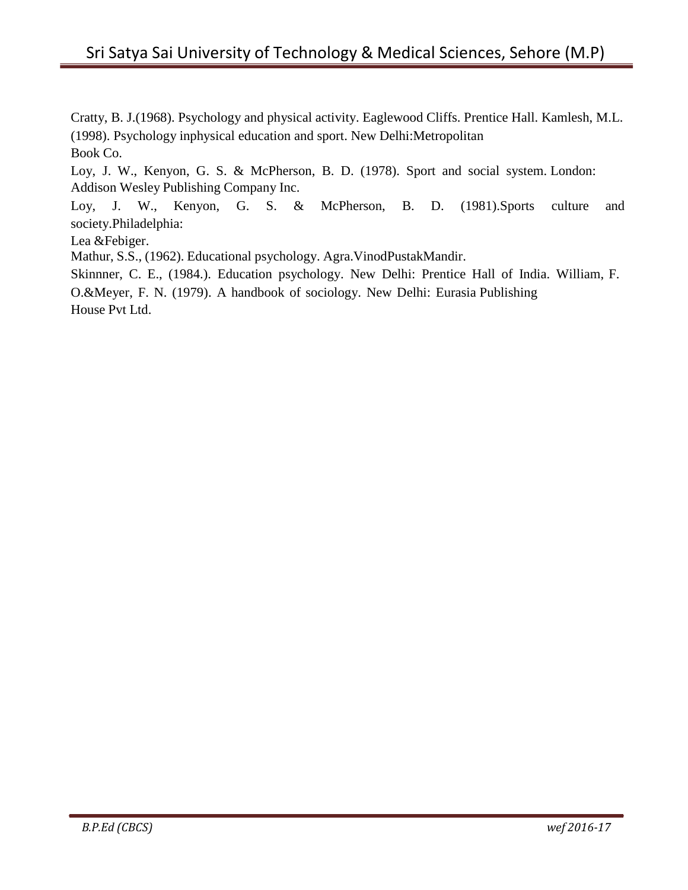Cratty, B. J.(1968). Psychology and physical activity. Eaglewood Cliffs. Prentice Hall. Kamlesh, M.L. (1998). Psychology inphysical education and sport. New Delhi:Metropolitan Book Co.

Loy, J. W., Kenyon, G. S. & McPherson, B. D. (1978). Sport and social system. London: Addison Wesley Publishing Company Inc.

Loy, J. W., Kenyon, G. S. & McPherson, B. D. (1981).Sports culture and society.Philadelphia:

Lea &Febiger.

Mathur, S.S., (1962). Educational psychology. Agra.VinodPustakMandir.

Skinnner, C. E., (1984.). Education psychology. New Delhi: Prentice Hall of India. William, F. O.&Meyer, F. N. (1979). A handbook of sociology. New Delhi: Eurasia Publishing House Pvt Ltd.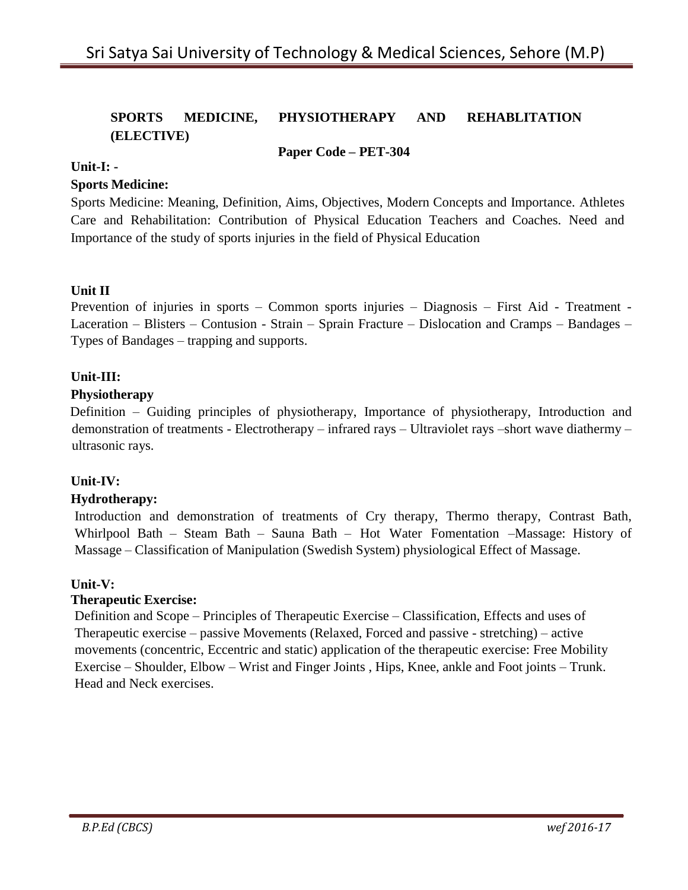# **SPORTS MEDICINE, PHYSIOTHERAPY AND REHABLITATION (ELECTIVE)**

#### **Paper Code – PET-304**

#### **Unit-I: -**

#### **Sports Medicine:**

Sports Medicine: Meaning, Definition, Aims, Objectives, Modern Concepts and Importance. Athletes Care and Rehabilitation: Contribution of Physical Education Teachers and Coaches. Need and Importance of the study of sports injuries in the field of Physical Education

# **Unit II**

Prevention of injuries in sports – Common sports injuries – Diagnosis – First Aid - Treatment - Laceration – Blisters – Contusion - Strain – Sprain Fracture – Dislocation and Cramps – Bandages – Types of Bandages – trapping and supports.

#### **Unit-III:**

#### **Physiotherapy**

Definition – Guiding principles of physiotherapy, Importance of physiotherapy, Introduction and demonstration of treatments - Electrotherapy – infrared rays – Ultraviolet rays –short wave diathermy – ultrasonic rays.

# **Unit-IV:**

#### **Hydrotherapy:**

Introduction and demonstration of treatments of Cry therapy, Thermo therapy, Contrast Bath, Whirlpool Bath – Steam Bath – Sauna Bath – Hot Water Fomentation –Massage: History of Massage – Classification of Manipulation (Swedish System) physiological Effect of Massage.

#### **Unit-V:**

#### **Therapeutic Exercise:**

Definition and Scope – Principles of Therapeutic Exercise – Classification, Effects and uses of Therapeutic exercise – passive Movements (Relaxed, Forced and passive - stretching) – active movements (concentric, Eccentric and static) application of the therapeutic exercise: Free Mobility Exercise – Shoulder, Elbow – Wrist and Finger Joints , Hips, Knee, ankle and Foot joints – Trunk. Head and Neck exercises.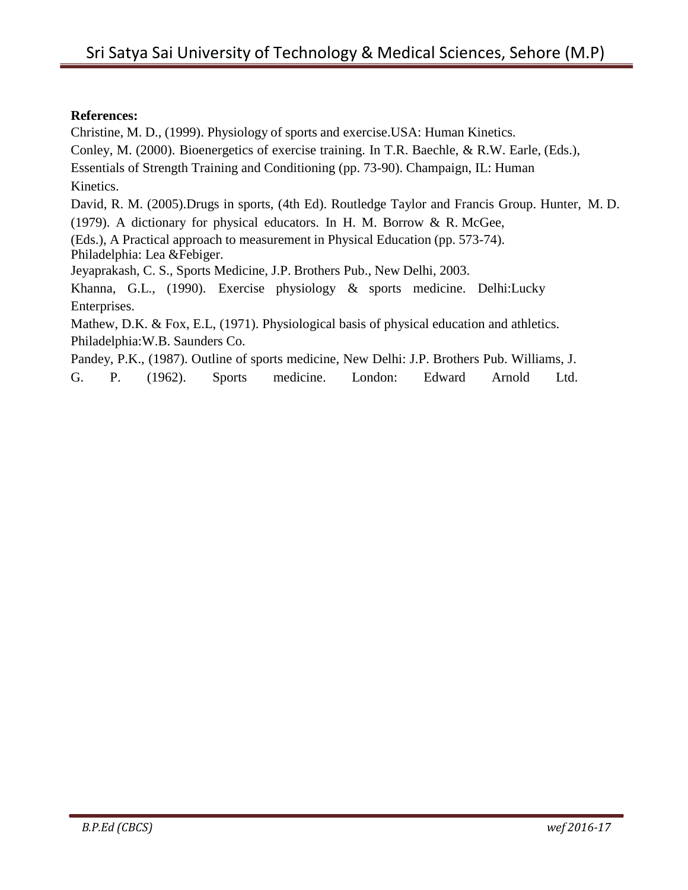#### **References:**

Christine, M. D., (1999). Physiology of sports and exercise.USA: Human Kinetics.

Conley, M. (2000). Bioenergetics of exercise training. In T.R. Baechle, & R.W. Earle, (Eds.),

Essentials of Strength Training and Conditioning (pp. 73-90). Champaign, IL: Human Kinetics.

David, R. M. (2005).Drugs in sports, (4th Ed). Routledge Taylor and Francis Group. Hunter, M. D.

(1979). A dictionary for physical educators. In H. M. Borrow & R. McGee,

(Eds.), A Practical approach to measurement in Physical Education (pp. 573-74). Philadelphia: Lea &Febiger.

Jeyaprakash, C. S., Sports Medicine, J.P. Brothers Pub., New Delhi, 2003.

Khanna, G.L., (1990). Exercise physiology & sports medicine. Delhi:Lucky Enterprises.

Mathew, D.K. & Fox, E.L, (1971). Physiological basis of physical education and athletics. Philadelphia:W.B. Saunders Co.

Pandey, P.K., (1987). Outline of sports medicine, New Delhi: J.P. Brothers Pub. Williams, J.

G. P. (1962). Sports medicine. London: Edward Arnold Ltd.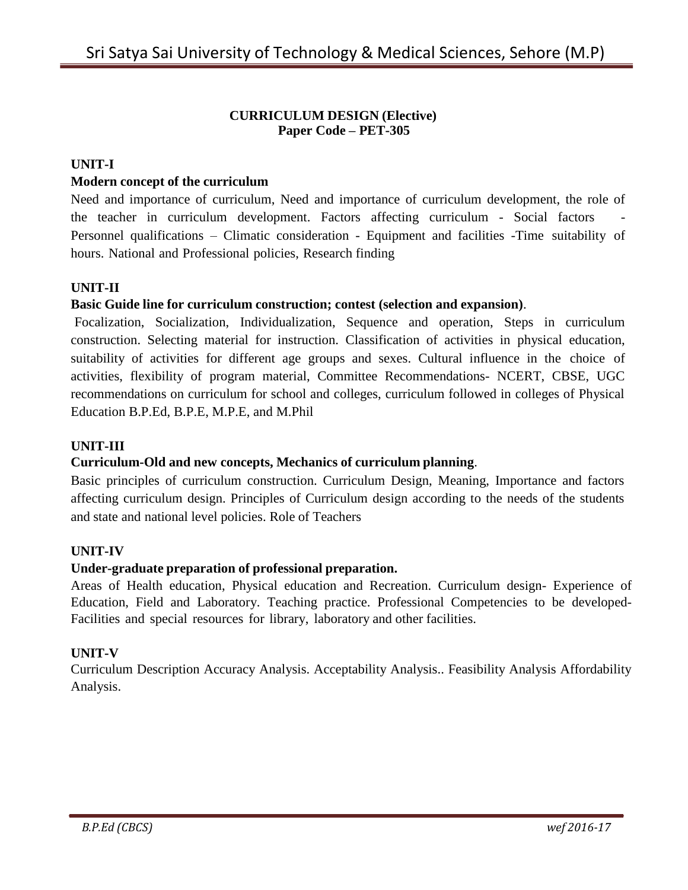#### **CURRICULUM DESIGN (Elective) Paper Code – PET-305**

#### **UNIT-I**

#### **Modern concept of the curriculum**

Need and importance of curriculum, Need and importance of curriculum development, the role of the teacher in curriculum development. Factors affecting curriculum - Social factors Personnel qualifications – Climatic consideration - Equipment and facilities -Time suitability of hours. National and Professional policies, Research finding

# **UNIT-II**

#### **Basic Guide line for curriculum construction; contest (selection and expansion)**.

Focalization, Socialization, Individualization, Sequence and operation, Steps in curriculum construction. Selecting material for instruction. Classification of activities in physical education, suitability of activities for different age groups and sexes. Cultural influence in the choice of activities, flexibility of program material, Committee Recommendations- NCERT, CBSE, UGC recommendations on curriculum for school and colleges, curriculum followed in colleges of Physical Education B.P.Ed, B.P.E, M.P.E, and M.Phil

#### **UNIT-III**

#### **Curriculum-Old and new concepts, Mechanics of curriculum planning**.

Basic principles of curriculum construction. Curriculum Design, Meaning, Importance and factors affecting curriculum design. Principles of Curriculum design according to the needs of the students and state and national level policies. Role of Teachers

#### **UNIT-IV**

#### **Under-graduate preparation of professional preparation.**

Areas of Health education, Physical education and Recreation. Curriculum design- Experience of Education, Field and Laboratory. Teaching practice. Professional Competencies to be developed-Facilities and special resources for library, laboratory and other facilities.

#### **UNIT-V**

Curriculum Description Accuracy Analysis. Acceptability Analysis.. Feasibility Analysis Affordability Analysis.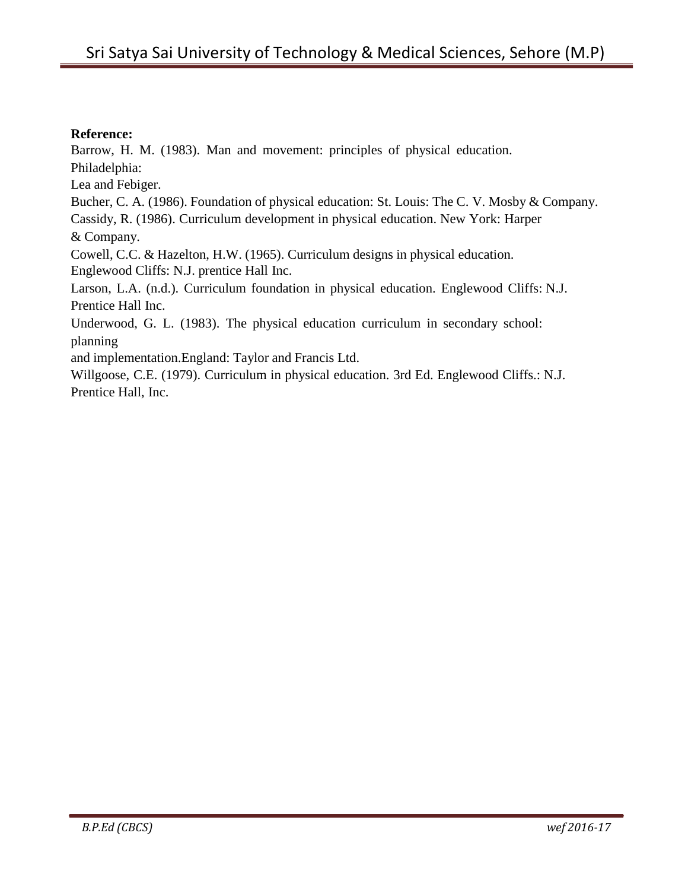#### **Reference:**

Barrow, H. M. (1983). Man and movement: principles of physical education.

Philadelphia:

Lea and Febiger.

Bucher, C. A. (1986). Foundation of physical education: St. Louis: The C. V. Mosby & Company. Cassidy, R. (1986). Curriculum development in physical education. New York: Harper

& Company.

Cowell, C.C. & Hazelton, H.W. (1965). Curriculum designs in physical education. Englewood Cliffs: N.J. prentice Hall Inc.

Larson, L.A. (n.d.). Curriculum foundation in physical education. Englewood Cliffs: N.J. Prentice Hall Inc.

Underwood, G. L. (1983). The physical education curriculum in secondary school: planning

and implementation.England: Taylor and Francis Ltd.

Willgoose, C.E. (1979). Curriculum in physical education. 3rd Ed. Englewood Cliffs.: N.J. Prentice Hall, Inc.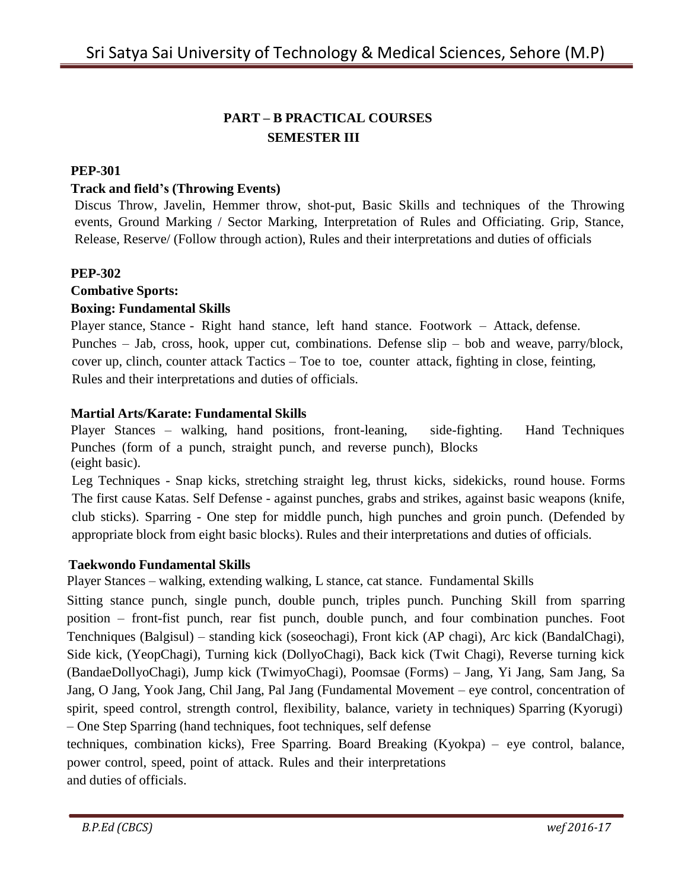# **PART – B PRACTICAL COURSES SEMESTER III**

#### **PEP-301**

#### **Track and field's (Throwing Events)**

Discus Throw, Javelin, Hemmer throw, shot-put, Basic Skills and techniques of the Throwing events, Ground Marking / Sector Marking, Interpretation of Rules and Officiating. Grip, Stance, Release, Reserve/ (Follow through action), Rules and their interpretations and duties of officials

#### **PEP-302**

# **Combative Sports:**

# **Boxing: Fundamental Skills**

Player stance, Stance - Right hand stance, left hand stance. Footwork – Attack, defense. Punches – Jab, cross, hook, upper cut, combinations. Defense slip – bob and weave, parry/block, cover up, clinch, counter attack Tactics – Toe to toe, counter attack, fighting in close, feinting, Rules and their interpretations and duties of officials.

# **Martial Arts/Karate: Fundamental Skills**

Player Stances – walking, hand positions, front-leaning, side-fighting. Hand Techniques Punches (form of a punch, straight punch, and reverse punch), Blocks (eight basic).

Leg Techniques - Snap kicks, stretching straight leg, thrust kicks, sidekicks, round house. Forms The first cause Katas. Self Defense - against punches, grabs and strikes, against basic weapons (knife, club sticks). Sparring - One step for middle punch, high punches and groin punch. (Defended by appropriate block from eight basic blocks). Rules and their interpretations and duties of officials.

#### **Taekwondo Fundamental Skills**

Player Stances – walking, extending walking, L stance, cat stance. Fundamental Skills

Sitting stance punch, single punch, double punch, triples punch. Punching Skill from sparring position – front-fist punch, rear fist punch, double punch, and four combination punches. Foot Tenchniques (Balgisul) – standing kick (soseochagi), Front kick (AP chagi), Arc kick (BandalChagi), Side kick, (YeopChagi), Turning kick (DollyoChagi), Back kick (Twit Chagi), Reverse turning kick (BandaeDollyoChagi), Jump kick (TwimyoChagi), Poomsae (Forms) – Jang, Yi Jang, Sam Jang, Sa Jang, O Jang, Yook Jang, Chil Jang, Pal Jang (Fundamental Movement – eye control, concentration of spirit, speed control, strength control, flexibility, balance, variety in techniques) Sparring (Kyorugi) – One Step Sparring (hand techniques, foot techniques, self defense

techniques, combination kicks), Free Sparring. Board Breaking (Kyokpa) – eye control, balance, power control, speed, point of attack. Rules and their interpretations and duties of officials.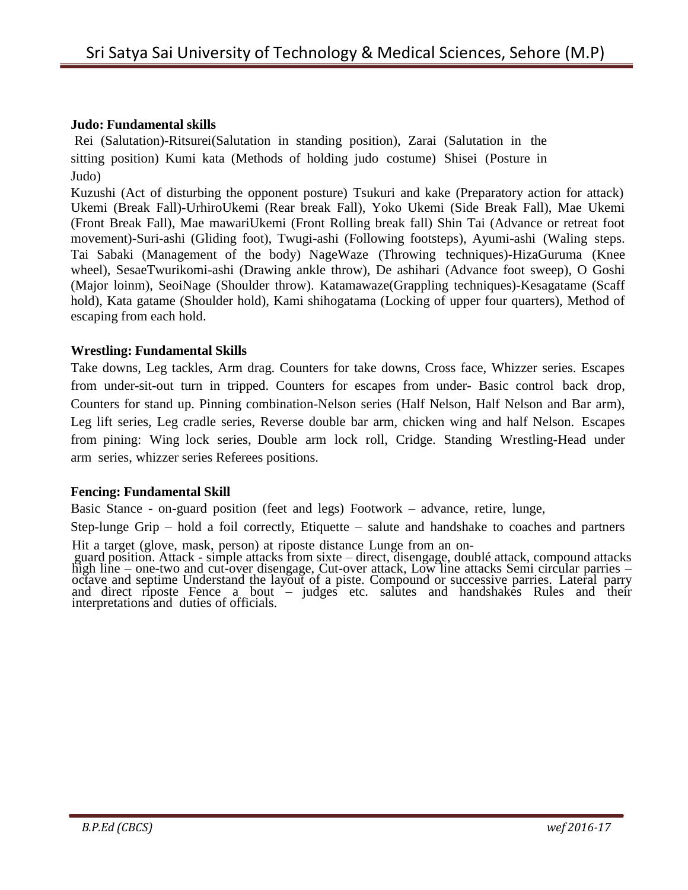#### **Judo: Fundamental skills**

Rei (Salutation)-Ritsurei(Salutation in standing position), Zarai (Salutation in the sitting position) Kumi kata (Methods of holding judo costume) Shisei (Posture in Judo)

Kuzushi (Act of disturbing the opponent posture) Tsukuri and kake (Preparatory action for attack) Ukemi (Break Fall)-UrhiroUkemi (Rear break Fall), Yoko Ukemi (Side Break Fall), Mae Ukemi (Front Break Fall), Mae mawariUkemi (Front Rolling break fall) Shin Tai (Advance or retreat foot movement)-Suri-ashi (Gliding foot), Twugi-ashi (Following footsteps), Ayumi-ashi (Waling steps. Tai Sabaki (Management of the body) NageWaze (Throwing techniques)-HizaGuruma (Knee wheel), SesaeTwurikomi-ashi (Drawing ankle throw), De ashihari (Advance foot sweep), O Goshi (Major loinm), SeoiNage (Shoulder throw). Katamawaze(Grappling techniques)-Kesagatame (Scaff hold), Kata gatame (Shoulder hold), Kami shihogatama (Locking of upper four quarters), Method of escaping from each hold.

#### **Wrestling: Fundamental Skills**

Take downs, Leg tackles, Arm drag. Counters for take downs, Cross face, Whizzer series. Escapes from under-sit-out turn in tripped. Counters for escapes from under- Basic control back drop, Counters for stand up. Pinning combination-Nelson series (Half Nelson, Half Nelson and Bar arm), Leg lift series, Leg cradle series, Reverse double bar arm, chicken wing and half Nelson. Escapes from pining: Wing lock series, Double arm lock roll, Cridge. Standing Wrestling-Head under arm series, whizzer series Referees positions.

#### **Fencing: Fundamental Skill**

Basic Stance - on-guard position (feet and legs) Footwork – advance, retire, lunge,

Step-lunge Grip – hold a foil correctly, Etiquette – salute and handshake to coaches and partners

Hit a target (glove, mask, person) at riposte distance Lunge from an on-

guard position. Attack - simple attacks from sixte – direct, disengage, doublé attack, compound attacks high line – one-two and cut-over disengage, Cut-over attack, Low line attacks Semi circular parries – octave and septime Understand the layout of a piste. Compound or successive parries. Lateral parry and direct riposte Fence a bout – judges etc. salutes and handshakes Rules and their interpretations and duties of officials.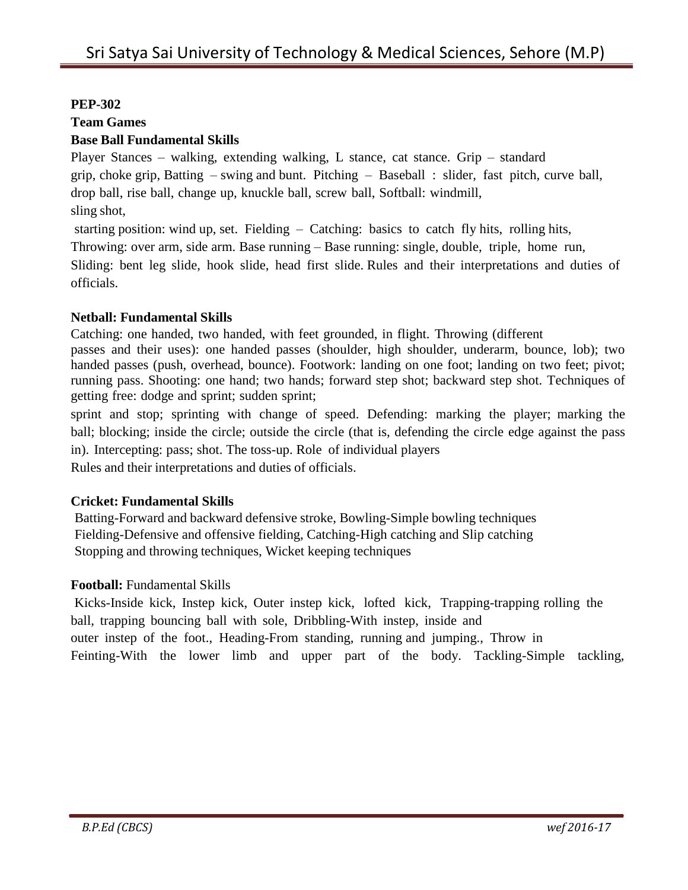# **PEP-302**

# **Team Games**

# **Base Ball Fundamental Skills**

Player Stances – walking, extending walking, L stance, cat stance. Grip – standard grip, choke grip, Batting – swing and bunt. Pitching – Baseball : slider, fast pitch, curve ball, drop ball, rise ball, change up, knuckle ball, screw ball, Softball: windmill, sling shot,

starting position: wind up, set. Fielding – Catching: basics to catch fly hits, rolling hits,

Throwing: over arm, side arm. Base running – Base running: single, double, triple, home run,

Sliding: bent leg slide, hook slide, head first slide. Rules and their interpretations and duties of officials.

#### **Netball: Fundamental Skills**

Catching: one handed, two handed, with feet grounded, in flight. Throwing (different

passes and their uses): one handed passes (shoulder, high shoulder, underarm, bounce, lob); two handed passes (push, overhead, bounce). Footwork: landing on one foot; landing on two feet; pivot; running pass. Shooting: one hand; two hands; forward step shot; backward step shot. Techniques of getting free: dodge and sprint; sudden sprint;

sprint and stop; sprinting with change of speed. Defending: marking the player; marking the ball; blocking; inside the circle; outside the circle (that is, defending the circle edge against the pass in). Intercepting: pass; shot. The toss-up. Role of individual players Rules and their interpretations and duties of officials.

# **Cricket: Fundamental Skills**

Batting-Forward and backward defensive stroke, Bowling-Simple bowling techniques Fielding-Defensive and offensive fielding, Catching-High catching and Slip catching Stopping and throwing techniques, Wicket keeping techniques

# **Football:** Fundamental Skills

Kicks-Inside kick, Instep kick, Outer instep kick, lofted kick, Trapping-trapping rolling the ball, trapping bouncing ball with sole, Dribbling-With instep, inside and outer instep of the foot., Heading-From standing, running and jumping., Throw in Feinting-With the lower limb and upper part of the body. Tackling-Simple tackling,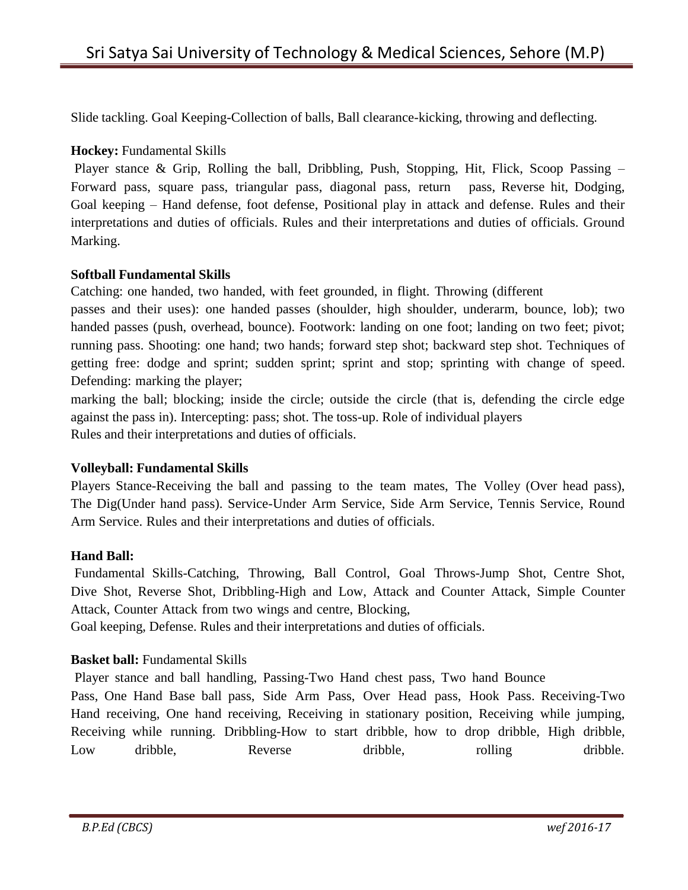Slide tackling. Goal Keeping-Collection of balls, Ball clearance-kicking, throwing and deflecting.

#### **Hockey:** Fundamental Skills

Player stance & Grip, Rolling the ball, Dribbling, Push, Stopping, Hit, Flick, Scoop Passing – Forward pass, square pass, triangular pass, diagonal pass, return pass, Reverse hit, Dodging, Goal keeping – Hand defense, foot defense, Positional play in attack and defense. Rules and their interpretations and duties of officials. Rules and their interpretations and duties of officials. Ground Marking.

#### **Softball Fundamental Skills**

Catching: one handed, two handed, with feet grounded, in flight. Throwing (different

passes and their uses): one handed passes (shoulder, high shoulder, underarm, bounce, lob); two handed passes (push, overhead, bounce). Footwork: landing on one foot; landing on two feet; pivot; running pass. Shooting: one hand; two hands; forward step shot; backward step shot. Techniques of getting free: dodge and sprint; sudden sprint; sprint and stop; sprinting with change of speed. Defending: marking the player;

marking the ball; blocking; inside the circle; outside the circle (that is, defending the circle edge against the pass in). Intercepting: pass; shot. The toss-up. Role of individual players Rules and their interpretations and duties of officials.

#### **Volleyball: Fundamental Skills**

Players Stance-Receiving the ball and passing to the team mates, The Volley (Over head pass), The Dig(Under hand pass). Service-Under Arm Service, Side Arm Service, Tennis Service, Round Arm Service. Rules and their interpretations and duties of officials.

#### **Hand Ball:**

Fundamental Skills-Catching, Throwing, Ball Control, Goal Throws-Jump Shot, Centre Shot, Dive Shot, Reverse Shot, Dribbling-High and Low, Attack and Counter Attack, Simple Counter Attack, Counter Attack from two wings and centre, Blocking,

Goal keeping, Defense. Rules and their interpretations and duties of officials.

#### **Basket ball:** Fundamental Skills

Player stance and ball handling, Passing-Two Hand chest pass, Two hand Bounce

Pass, One Hand Base ball pass, Side Arm Pass, Over Head pass, Hook Pass. Receiving-Two Hand receiving, One hand receiving, Receiving in stationary position, Receiving while jumping, Receiving while running. Dribbling-How to start dribble, how to drop dribble, High dribble, Low dribble, Reverse dribble, rolling dribble.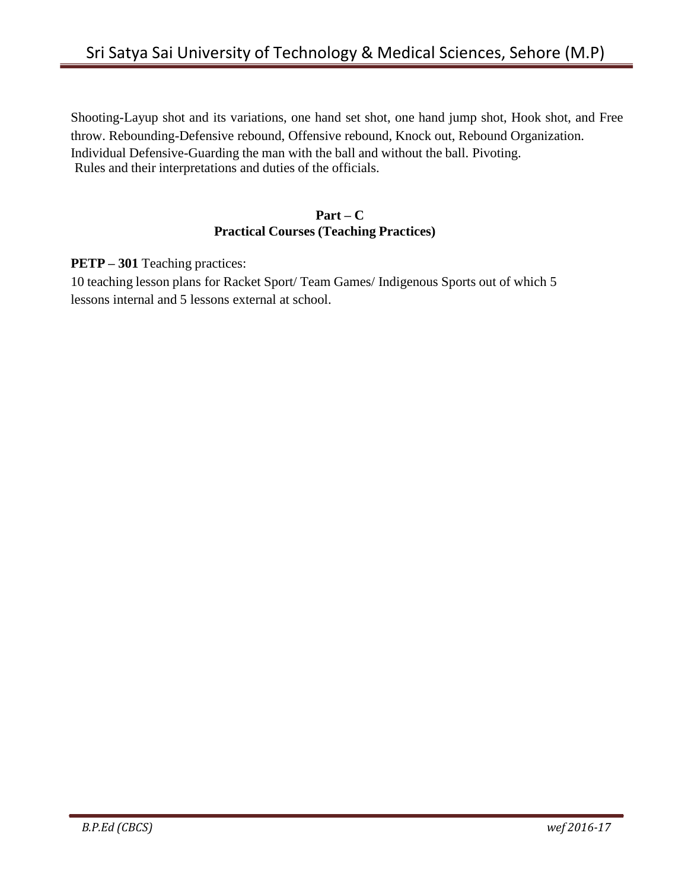Shooting-Layup shot and its variations, one hand set shot, one hand jump shot, Hook shot, and Free throw. Rebounding-Defensive rebound, Offensive rebound, Knock out, Rebound Organization. Individual Defensive-Guarding the man with the ball and without the ball. Pivoting. Rules and their interpretations and duties of the officials.

#### **Part – C Practical Courses (Teaching Practices)**

**PETP – 301** Teaching practices:

10 teaching lesson plans for Racket Sport/ Team Games/ Indigenous Sports out of which 5 lessons internal and 5 lessons external at school.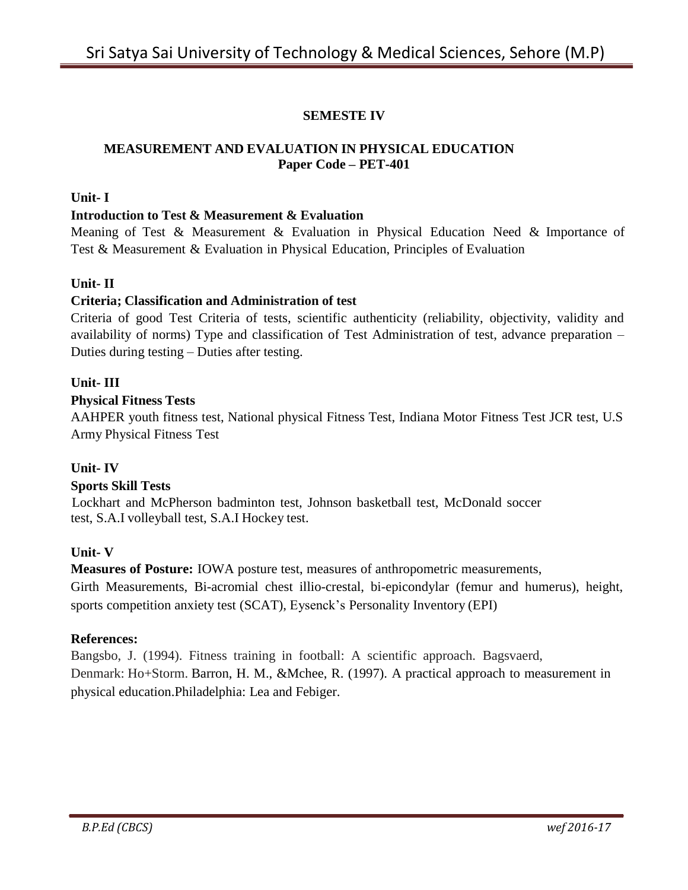# **SEMESTE IV**

#### **MEASUREMENT AND EVALUATION IN PHYSICAL EDUCATION Paper Code – PET-401**

#### **Unit- I**

#### **Introduction to Test & Measurement & Evaluation**

Meaning of Test & Measurement & Evaluation in Physical Education Need & Importance of Test & Measurement & Evaluation in Physical Education, Principles of Evaluation

#### **Unit- II**

#### **Criteria; Classification and Administration of test**

Criteria of good Test Criteria of tests, scientific authenticity (reliability, objectivity, validity and availability of norms) Type and classification of Test Administration of test, advance preparation – Duties during testing – Duties after testing.

#### **Unit- III**

#### **Physical Fitness Tests**

AAHPER youth fitness test, National physical Fitness Test, Indiana Motor Fitness Test JCR test, U.S Army Physical Fitness Test

#### **Unit- IV**

#### **Sports Skill Tests**

Lockhart and McPherson badminton test, Johnson basketball test, McDonald soccer test, S.A.I volleyball test, S.A.I Hockey test.

#### **Unit- V**

**Measures of Posture:** IOWA posture test, measures of anthropometric measurements,

Girth Measurements, Bi-acromial chest illio-crestal, bi-epicondylar (femur and humerus), height, sports competition anxiety test (SCAT), Eysenck's Personality Inventory (EPI)

#### **References:**

Bangsbo, J. (1994). Fitness training in football: A scientific approach. Bagsvaerd, Denmark: Ho+Storm. Barron, H. M., &Mchee, R. (1997). A practical approach to measurement in physical education.Philadelphia: Lea and Febiger.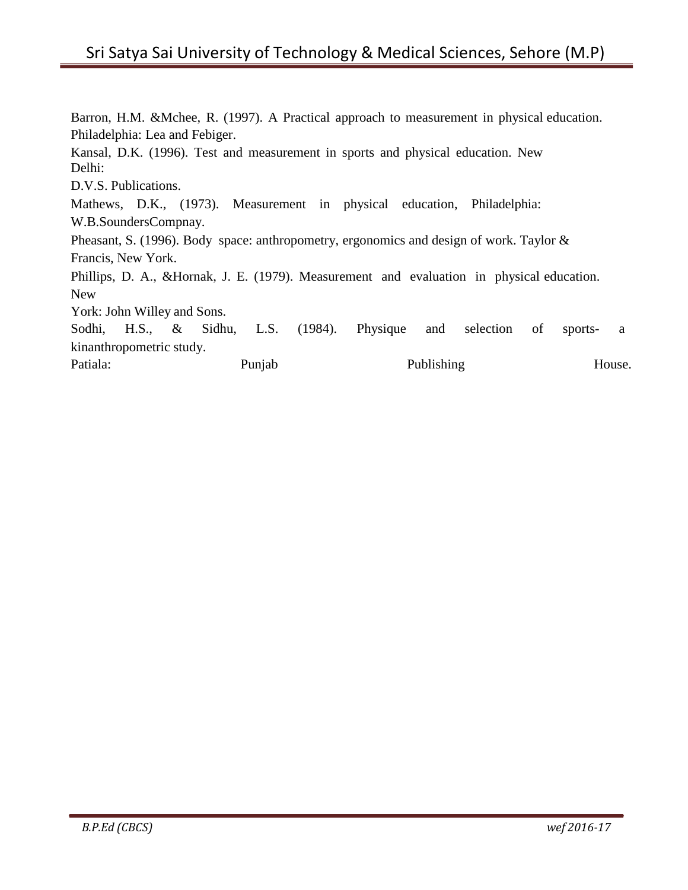# Sri Satya Sai University of Technology & Medical Sciences, Sehore (M.P)

Barron, H.M. &Mchee, R. (1997). A Practical approach to measurement in physical education. Philadelphia: Lea and Febiger. Kansal, D.K. (1996). Test and measurement in sports and physical education. New Delhi: D.V.S. Publications. Mathews, D.K., (1973). Measurement in physical education, Philadelphia: W.B.SoundersCompnay. Pheasant, S. (1996). Body space: anthropometry, ergonomics and design of work. Taylor & Francis, New York. Phillips, D. A., &Hornak, J. E. (1979). Measurement and evaluation in physical education. New York: John Willey and Sons. Sodhi, H.S., & Sidhu, L.S. (1984). Physique and selection of sports- a kinanthropometric study. Patiala: Punjab Punjab Publishing House.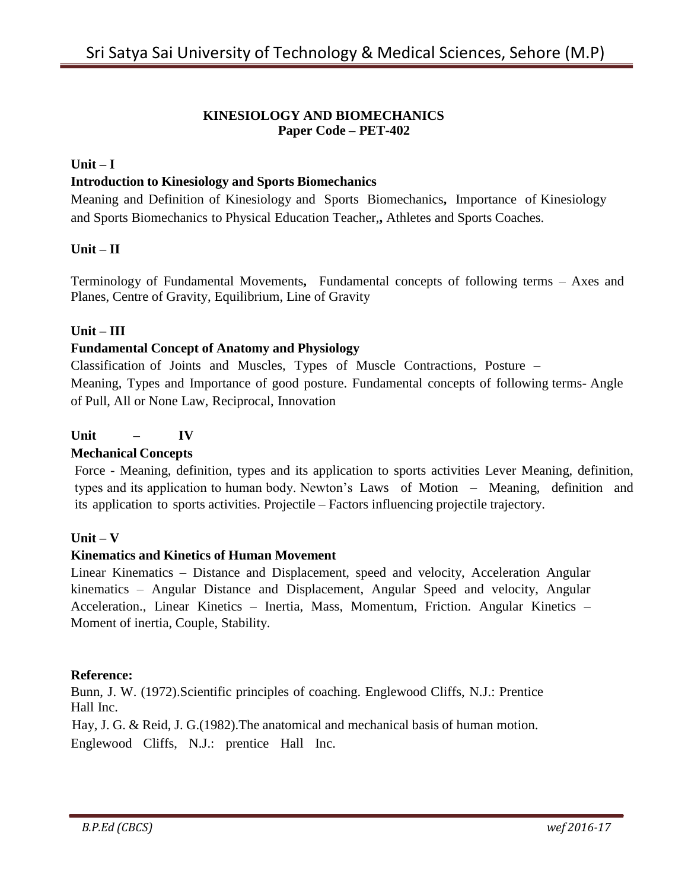#### **KINESIOLOGY AND BIOMECHANICS Paper Code – PET-402**

# **Unit – I**

# **Introduction to Kinesiology and Sports Biomechanics**

Meaning and Definition of Kinesiology and Sports Biomechanics**,** Importance of Kinesiology and Sports Biomechanics to Physical Education Teacher,**,** Athletes and Sports Coaches.

#### **Unit – II**

Terminology of Fundamental Movements**,** Fundamental concepts of following terms – Axes and Planes, Centre of Gravity, Equilibrium, Line of Gravity

# **Unit – III**

#### **Fundamental Concept of Anatomy and Physiology**

Classification of Joints and Muscles, Types of Muscle Contractions, Posture – Meaning, Types and Importance of good posture. Fundamental concepts of following terms- Angle of Pull, All or None Law, Reciprocal, Innovation

# **Unit – IV**

#### **Mechanical Concepts**

Force - Meaning, definition, types and its application to sports activities Lever Meaning, definition, types and its application to human body. Newton's Laws of Motion – Meaning, definition and its application to sports activities. Projectile – Factors influencing projectile trajectory.

#### **Unit – V**

#### **Kinematics and Kinetics of Human Movement**

Linear Kinematics – Distance and Displacement, speed and velocity, Acceleration Angular kinematics – Angular Distance and Displacement, Angular Speed and velocity, Angular Acceleration., Linear Kinetics – Inertia, Mass, Momentum, Friction. Angular Kinetics – Moment of inertia, Couple, Stability.

#### **Reference:**

Bunn, J. W. (1972).Scientific principles of coaching. Englewood Cliffs, N.J.: Prentice Hall Inc.

Hay, J. G. & Reid, J. G.(1982).The anatomical and mechanical basis of human motion.

Englewood Cliffs, N.J.: prentice Hall Inc.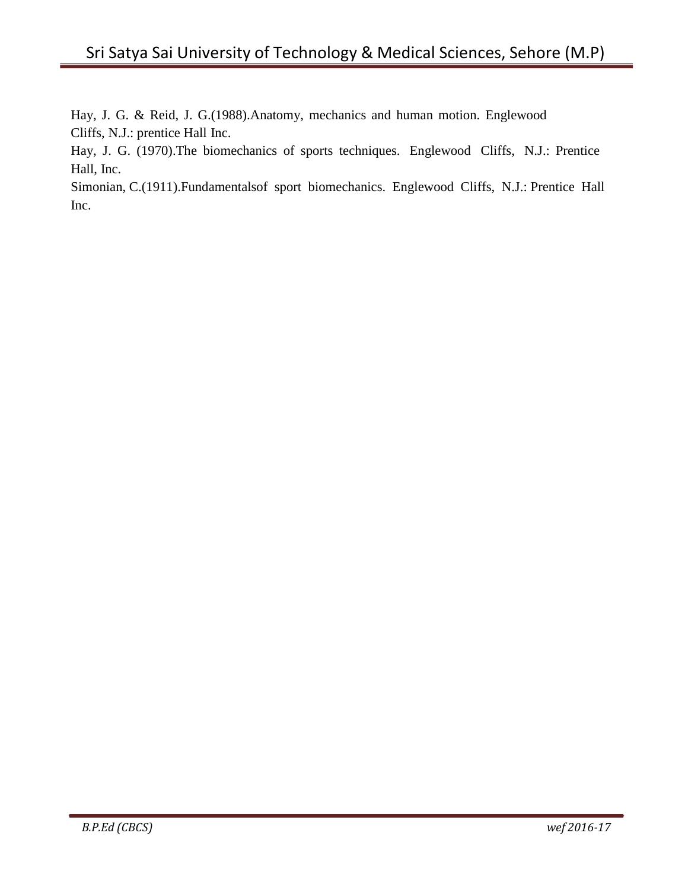Hay, J. G. & Reid, J. G.(1988).Anatomy, mechanics and human motion. Englewood Cliffs, N.J.: prentice Hall Inc.

Hay, J. G. (1970).The biomechanics of sports techniques. Englewood Cliffs, N.J.: Prentice Hall, Inc.

Simonian, C.(1911).Fundamentalsof sport biomechanics. Englewood Cliffs, N.J.: Prentice Hall Inc.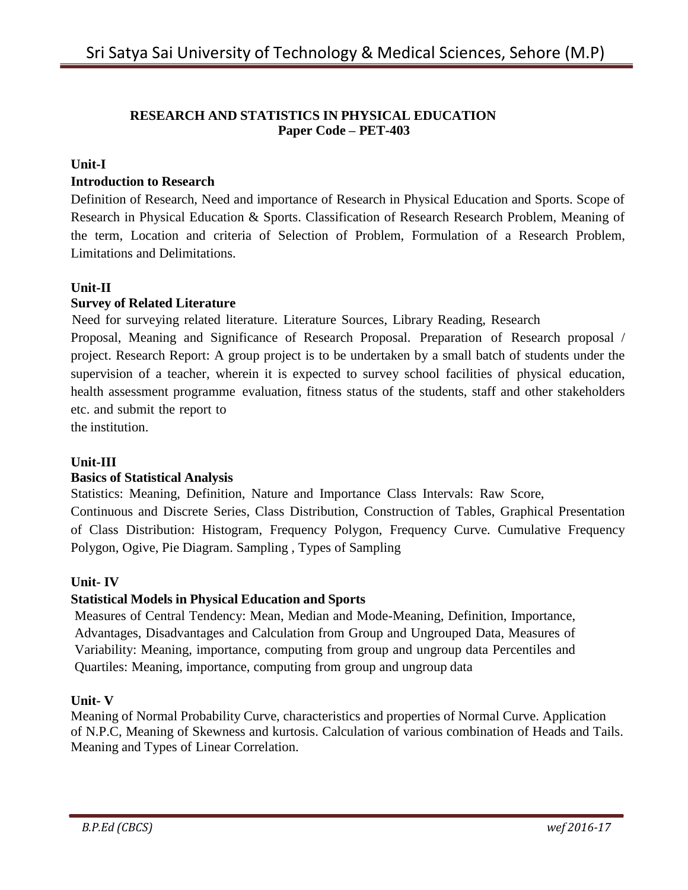#### **RESEARCH AND STATISTICS IN PHYSICAL EDUCATION Paper Code – PET-403**

# **Unit-I**

# **Introduction to Research**

Definition of Research, Need and importance of Research in Physical Education and Sports. Scope of Research in Physical Education & Sports. Classification of Research Research Problem, Meaning of the term, Location and criteria of Selection of Problem, Formulation of a Research Problem, Limitations and Delimitations.

# **Unit-II**

# **Survey of Related Literature**

Need for surveying related literature. Literature Sources, Library Reading, Research

Proposal, Meaning and Significance of Research Proposal. Preparation of Research proposal / project. Research Report: A group project is to be undertaken by a small batch of students under the supervision of a teacher, wherein it is expected to survey school facilities of physical education, health assessment programme evaluation, fitness status of the students, staff and other stakeholders etc. and submit the report to

the institution.

# **Unit-III**

#### **Basics of Statistical Analysis**

Statistics: Meaning, Definition, Nature and Importance Class Intervals: Raw Score, Continuous and Discrete Series, Class Distribution, Construction of Tables, Graphical Presentation of Class Distribution: Histogram, Frequency Polygon, Frequency Curve. Cumulative Frequency Polygon, Ogive, Pie Diagram. Sampling , Types of Sampling

#### **Unit- IV**

# **Statistical Models in Physical Education and Sports**

Measures of Central Tendency: Mean, Median and Mode-Meaning, Definition, Importance, Advantages, Disadvantages and Calculation from Group and Ungrouped Data, Measures of Variability: Meaning, importance, computing from group and ungroup data Percentiles and Quartiles: Meaning, importance, computing from group and ungroup data

#### **Unit- V**

Meaning of Normal Probability Curve, characteristics and properties of Normal Curve. Application of N.P.C, Meaning of Skewness and kurtosis. Calculation of various combination of Heads and Tails. Meaning and Types of Linear Correlation.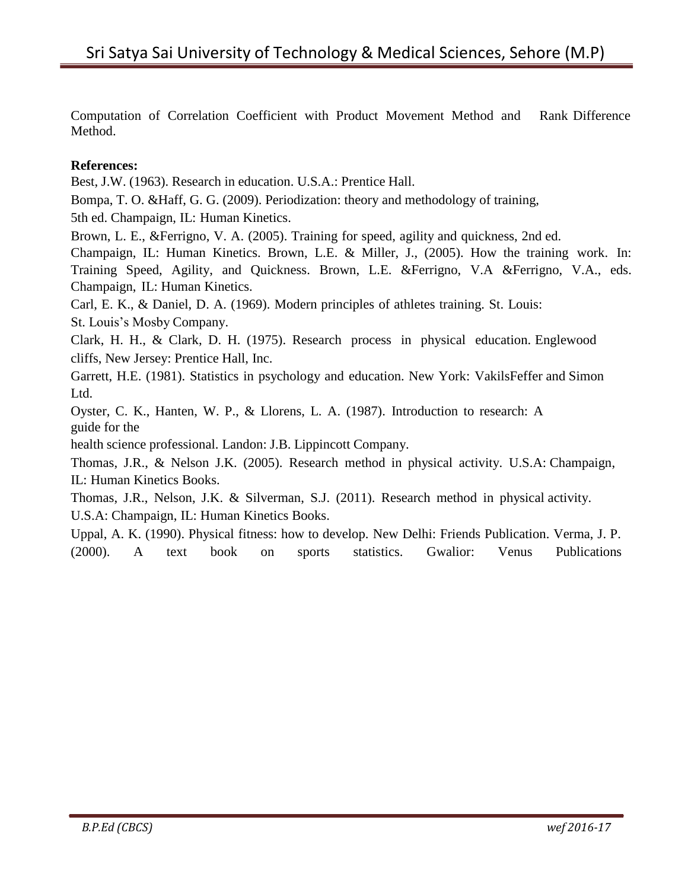Computation of Correlation Coefficient with Product Movement Method and Rank Difference Method.

#### **References:**

Best, J.W. (1963). Research in education. U.S.A.: Prentice Hall.

Bompa, T. O. &Haff, G. G. (2009). Periodization: theory and methodology of training,

5th ed. Champaign, IL: Human Kinetics.

Brown, L. E., &Ferrigno, V. A. (2005). Training for speed, agility and quickness, 2nd ed.

Champaign, IL: Human Kinetics. Brown, L.E. & Miller, J., (2005). How the training work. In: Training Speed, Agility, and Quickness. Brown, L.E. &Ferrigno, V.A &Ferrigno, V.A., eds. Champaign, IL: Human Kinetics.

Carl, E. K., & Daniel, D. A. (1969). Modern principles of athletes training. St. Louis:

St. Louis's Mosby Company.

Clark, H. H., & Clark, D. H. (1975). Research process in physical education. Englewood cliffs, New Jersey: Prentice Hall, Inc.

Garrett, H.E. (1981). Statistics in psychology and education. New York: VakilsFeffer and Simon Ltd.

Oyster, C. K., Hanten, W. P., & Llorens, L. A. (1987). Introduction to research: A guide for the

health science professional. Landon: J.B. Lippincott Company.

Thomas, J.R., & Nelson J.K. (2005). Research method in physical activity. U.S.A: Champaign, IL: Human Kinetics Books.

Thomas, J.R., Nelson, J.K. & Silverman, S.J. (2011). Research method in physical activity. U.S.A: Champaign, IL: Human Kinetics Books.

Uppal, A. K. (1990). Physical fitness: how to develop. New Delhi: Friends Publication. Verma, J. P. (2000). A text book on sports statistics. Gwalior: Venus Publications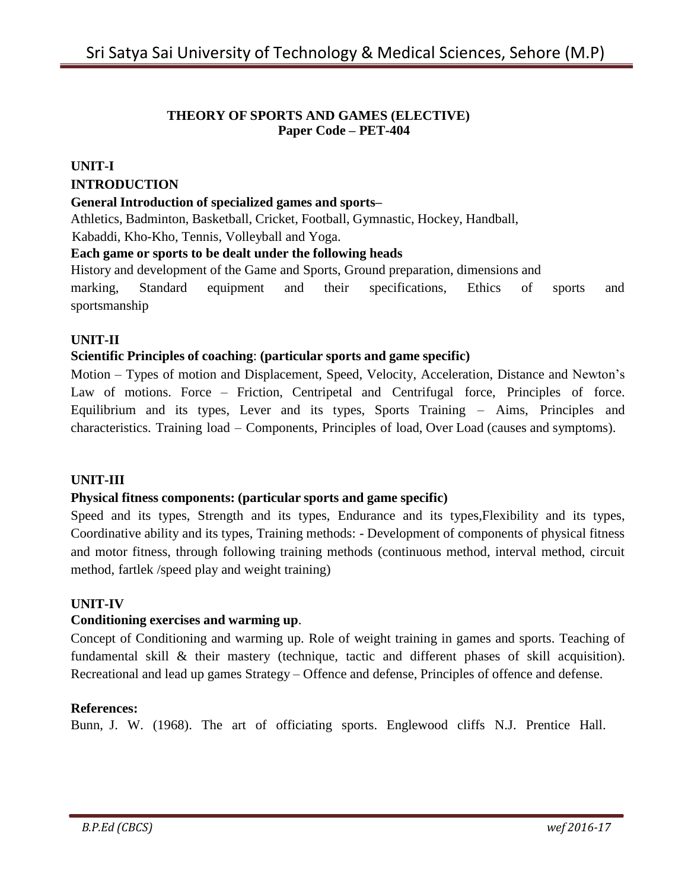#### **THEORY OF SPORTS AND GAMES (ELECTIVE) Paper Code – PET-404**

# **UNIT-I**

# **INTRODUCTION**

# **General Introduction of specialized games and sports–**

Athletics, Badminton, Basketball, Cricket, Football, Gymnastic, Hockey, Handball,

Kabaddi, Kho-Kho, Tennis, Volleyball and Yoga.

#### **Each game or sports to be dealt under the following heads**

History and development of the Game and Sports, Ground preparation, dimensions and marking, Standard equipment and their specifications, Ethics of sports and sportsmanship

# **UNIT-II**

# **Scientific Principles of coaching**: **(particular sports and game specific)**

Motion – Types of motion and Displacement, Speed, Velocity, Acceleration, Distance and Newton's Law of motions. Force – Friction, Centripetal and Centrifugal force, Principles of force. Equilibrium and its types, Lever and its types, Sports Training – Aims, Principles and characteristics. Training load – Components, Principles of load, Over Load (causes and symptoms).

#### **UNIT-III**

#### **Physical fitness components: (particular sports and game specific)**

Speed and its types, Strength and its types, Endurance and its types,Flexibility and its types, Coordinative ability and its types, Training methods: - Development of components of physical fitness and motor fitness, through following training methods (continuous method, interval method, circuit method, fartlek /speed play and weight training)

#### **UNIT-IV**

#### **Conditioning exercises and warming up**.

Concept of Conditioning and warming up. Role of weight training in games and sports. Teaching of fundamental skill & their mastery (technique, tactic and different phases of skill acquisition). Recreational and lead up games Strategy – Offence and defense, Principles of offence and defense.

#### **References:**

Bunn, J. W. (1968). The art of officiating sports. Englewood cliffs N.J. Prentice Hall.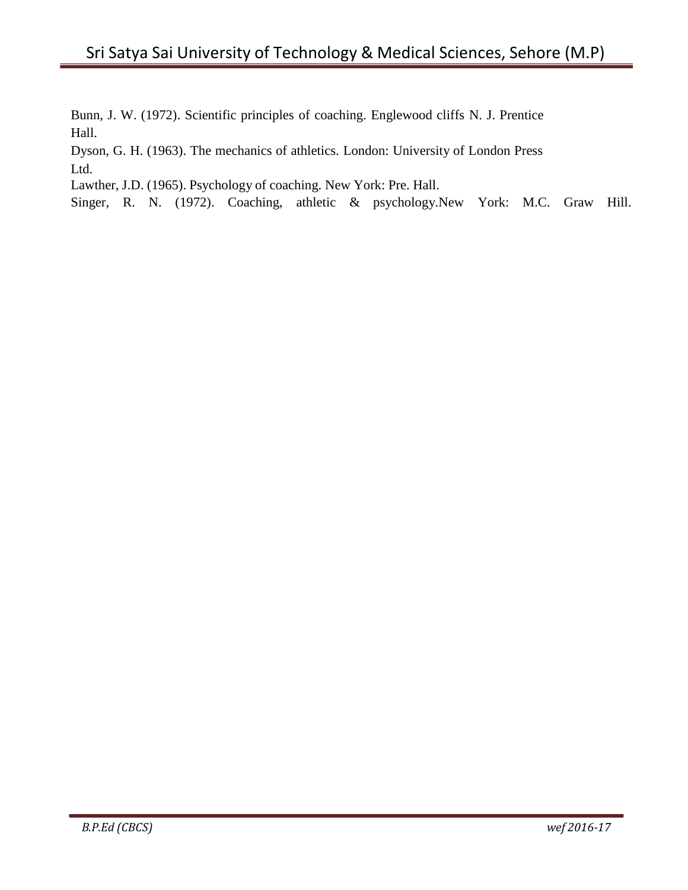Bunn, J. W. (1972). Scientific principles of coaching. Englewood cliffs N. J. Prentice Hall.

Dyson, G. H. (1963). The mechanics of athletics. London: University of London Press Ltd.

Lawther, J.D. (1965). Psychology of coaching. New York: Pre. Hall.

Singer, R. N. (1972). Coaching, athletic & psychology.New York: M.C. Graw Hill.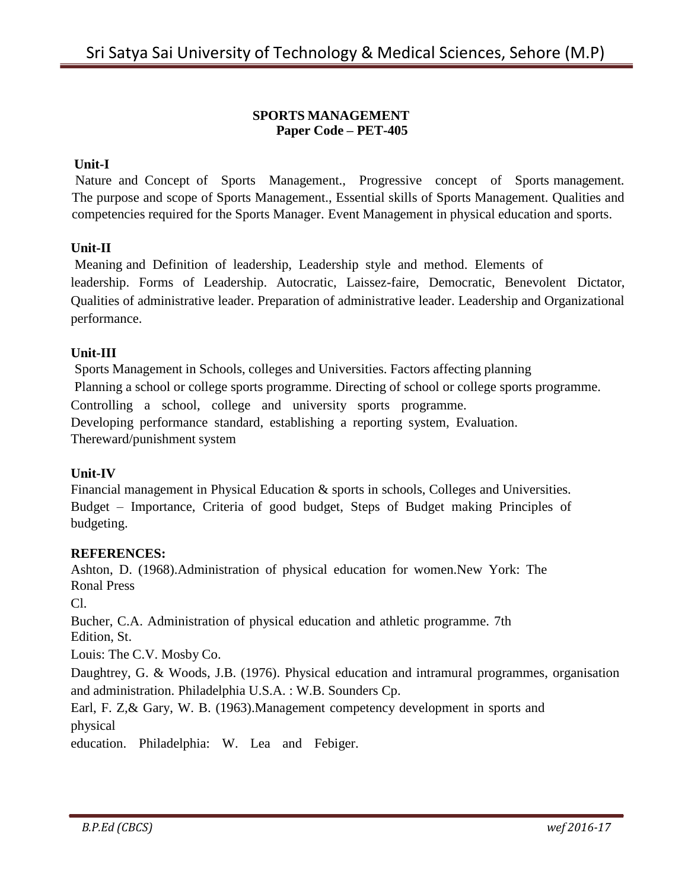#### **SPORTS MANAGEMENT Paper Code – PET-405**

#### **Unit-I**

Nature and Concept of Sports Management., Progressive concept of Sports management. The purpose and scope of Sports Management., Essential skills of Sports Management. Qualities and competencies required for the Sports Manager. Event Management in physical education and sports.

#### **Unit-II**

Meaning and Definition of leadership, Leadership style and method. Elements of leadership. Forms of Leadership. Autocratic, Laissez-faire, Democratic, Benevolent Dictator, Qualities of administrative leader. Preparation of administrative leader. Leadership and Organizational performance.

#### **Unit-III**

Sports Management in Schools, colleges and Universities. Factors affecting planning Planning a school or college sports programme. Directing of school or college sports programme. Controlling a school, college and university sports programme. Developing performance standard, establishing a reporting system, Evaluation. Thereward/punishment system

#### **Unit-IV**

Financial management in Physical Education & sports in schools, Colleges and Universities. Budget – Importance, Criteria of good budget, Steps of Budget making Principles of budgeting.

#### **REFERENCES:**

Ashton, D. (1968).Administration of physical education for women.New York: The Ronal Press

Cl.

Bucher, C.A. Administration of physical education and athletic programme. 7th Edition, St.

Louis: The C.V. Mosby Co.

Daughtrey, G. & Woods, J.B. (1976). Physical education and intramural programmes, organisation and administration. Philadelphia U.S.A. : W.B. Sounders Cp.

Earl, F. Z,& Gary, W. B. (1963).Management competency development in sports and physical

education. Philadelphia: W. Lea and Febiger.